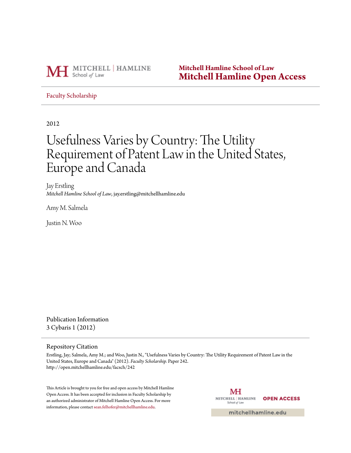

**Mitchell Hamline School of Law [Mitchell Hamline Open Access](http://open.mitchellhamline.edu)**

#### [Faculty Scholarship](http://open.mitchellhamline.edu/facsch)

2012

# Usefulness Varies by Country: The Utility Requirement of Patent Law in the United States, Europe and Canada

Jay Erstling *Mitchell Hamline School of Law*, jay.erstling@mitchellhamline.edu

Amy M. Salmela

Justin N. Woo

Publication Information 3 Cybaris 1 (2012)

#### Repository Citation

Erstling, Jay; Salmela, Amy M.; and Woo, Justin N., "Usefulness Varies by Country: The Utility Requirement of Patent Law in the United States, Europe and Canada" (2012). *Faculty Scholarship.* Paper 242. http://open.mitchellhamline.edu/facsch/242

This Article is brought to you for free and open access by Mitchell Hamline Open Access. It has been accepted for inclusion in Faculty Scholarship by an authorized administrator of Mitchell Hamline Open Access. For more information, please contact [sean.felhofer@mitchellhamline.edu.](mailto:sean.felhofer@mitchellhamline.edu)

MH MITCHELL | HAMLINE **OPEN ACCESS** School of Law

mitchellhamline.edu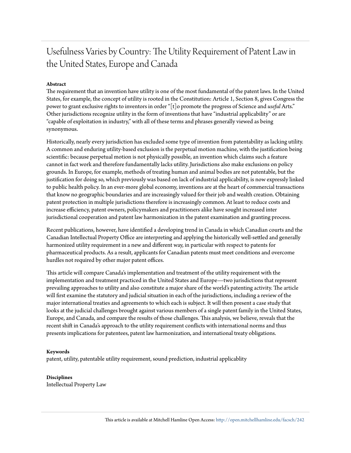# Usefulness Varies by Country: The Utility Requirement of Patent Law in the United States, Europe and Canada

### **Abstract**

The requirement that an invention have utility is one of the most fundamental of the patent laws. In the United States, for example, the concept of utility is rooted in the Constitution: Article 1, Section 8, gives Congress the power to grant exclusive rights to inventors in order "[t]o promote the progress of Science and *useful* Arts." Other jurisdictions recognize utility in the form of inventions that have "industrial applicability" or are "capable of exploitation in industry," with all of these terms and phrases generally viewed as being synonymous.

Historically, nearly every jurisdiction has excluded some type of invention from patentability as lacking utility. A common and enduring utility-based exclusion is the perpetual motion machine, with the justification being scientific: because perpetual motion is not physically possible, an invention which claims such a feature cannot in fact work and therefore fundamentally lacks utility. Jurisdictions also make exclusions on policy grounds. In Europe, for example, methods of treating human and animal bodies are not patentable, but the justification for doing so, which previously was based on lack of industrial applicability, is now expressly linked to public health policy. In an ever-more global economy, inventions are at the heart of commercial transactions that know no geographic boundaries and are increasingly valued for their job and wealth creation. Obtaining patent protection in multiple jurisdictions therefore is increasingly common. At least to reduce costs and increase efficiency, patent owners, policymakers and practitioners alike have sought increased inter jurisdictional cooperation and patent law harmonization in the patent examination and granting process.

Recent publications, however, have identified a developing trend in Canada in which Canadian courts and the Canadian Intellectual Property Office are interpreting and applying the historically well-settled and generally harmonized utility requirement in a new and different way, in particular with respect to patents for pharmaceutical products. As a result, applicants for Canadian patents must meet conditions and overcome hurdles not required by other major patent offices.

This article will compare Canada's implementation and treatment of the utility requirement with the implementation and treatment practiced in the United States and Europe—two jurisdictions that represent prevailing approaches to utility and also constitute a major share of the world's patenting activity. The article will first examine the statutory and judicial situation in each of the jurisdictions, including a review of the major international treaties and agreements to which each is subject. It will then present a case study that looks at the judicial challenges brought against various members of a single patent family in the United States, Europe, and Canada, and compare the results of those challenges. This analysis, we believe, reveals that the recent shift in Canada's approach to the utility requirement conflicts with international norms and thus presents implications for patentees, patent law harmonization, and international treaty obligations.

#### **Keywords**

patent, utility, patentable utility requirement, sound prediction, industrial applicablity

#### **Disciplines**

Intellectual Property Law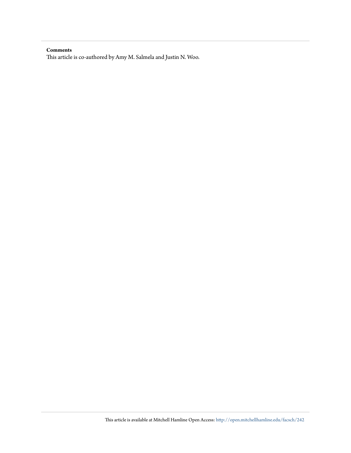#### **Comments**

This article is co-authored by Amy M. Salmela and Justin N. Woo.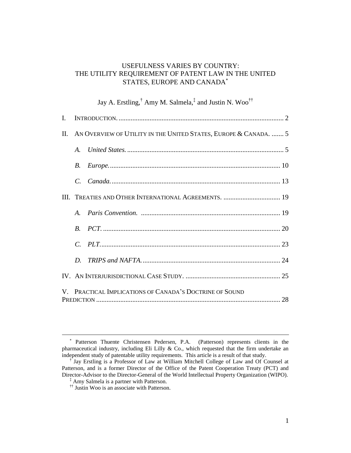# USEFULNESS VARIES BY COUNTRY: THE UTILITY REQUIREMENT OF PATENT LAW IN THE UNITED STATES, EUROPE AND CANADA

|     |                                                                  | Jay A. Erstling, $\hat{A}$ Amy M. Salmela, $\hat{A}$ and Justin N. Woo <sup>††</sup> |  |
|-----|------------------------------------------------------------------|--------------------------------------------------------------------------------------|--|
| I.  |                                                                  |                                                                                      |  |
| II. | AN OVERVIEW OF UTILITY IN THE UNITED STATES, EUROPE & CANADA.  5 |                                                                                      |  |
|     | $A_{\cdot}$                                                      |                                                                                      |  |
|     | <i>B</i> .                                                       |                                                                                      |  |
|     | $\overline{C}$                                                   |                                                                                      |  |
|     | III. TREATIES AND OTHER INTERNATIONAL AGREEMENTS.  19            |                                                                                      |  |
|     |                                                                  |                                                                                      |  |
|     |                                                                  |                                                                                      |  |
|     | $\mathcal{C}$                                                    |                                                                                      |  |
|     | D.                                                               |                                                                                      |  |
|     |                                                                  |                                                                                      |  |
|     | V. PRACTICAL IMPLICATIONS OF CANADA'S DOCTRINE OF SOUND          |                                                                                      |  |

Patterson Thuente Christensen Pedersen, P.A. (Patterson) represents clients in the pharmaceutical industry, including Eli Lilly  $\&$  Co., which requested that the firm undertake an independent study of patentable utility requirements. This article is a result of that study.

<sup>†</sup> Jay Erstling is a Professor of Law at William Mitchell College of Law and Of Counsel at Patterson, and is a former Director of the Office of the Patent Cooperation Treaty (PCT) and Director-Advisor to the Director-General of the World Intellectual Property Organization (WIPO).

<sup>‡</sup> Amy Salmela is a partner with Patterson.

<sup>††</sup> Justin Woo is an associate with Patterson.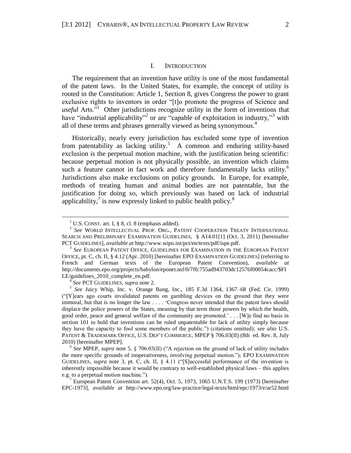#### <span id="page-4-4"></span><span id="page-4-3"></span><span id="page-4-2"></span><span id="page-4-1"></span>I. INTRODUCTION

<span id="page-4-0"></span>The requirement that an invention have utility is one of the most fundamental of the patent laws. In the United States, for example, the concept of utility is rooted in the Constitution: Article 1, Section 8, gives Congress the power to grant exclusive rights to inventors in order "[t]o promote the progress of Science and *useful* Arts."<sup>1</sup> Other jurisdictions recognize utility in the form of inventions that have "industrial applicability"<sup>2</sup> or are "capable of exploitation in industry,"<sup>3</sup> with all of these terms and phrases generally viewed as being synonymous.<sup>4</sup>

Historically, nearly every jurisdiction has excluded some type of invention from patentability as lacking utility.<sup>5</sup> A common and enduring utility-based exclusion is the perpetual motion machine, with the justification being scientific: because perpetual motion is not physically possible, an invention which claims such a feature cannot in fact work and therefore fundamentally lacks utility.<sup>6</sup> Jurisdictions also make exclusions on policy grounds. In Europe, for example, methods of treating human and animal bodies are not patentable, but the justification for doing so, which previously was based on lack of industrial applicability, $\frac{7}{1}$  is now expressly linked to public health policy.<sup>8</sup>

4 *See* PCT GUIDELINES, *supra* note [2.](#page-4-1)

 $\overline{a}$ 

<sup>7</sup> European Patent Convention art. 52(4), Oct. 5, 1973, 1065 U.N.T.S. 199 (1973) [hereinafter EPC-1973], *available at* http://www.epo.org/law-practice/legal-texts/html/epc/1973/e/ar52.html

 $1 \text{ U.S.}$  CONST. art. I, § 8, cl. 8 (emphasis added).

<sup>2</sup> *See* WORLD INTELLECTUAL PROP. ORG., PATENT COOPERATION TREATY INTERNATIONAL SEARCH AND PRELIMINARY EXAMINATION GUIDELINES, § A14.01[1] (Oct. 3, 2011) [hereinafter PCT GUIDELINES], *available at* http://www.wipo.int/pct/en/texts/pdf/ispe.pdf.

<sup>3</sup> *See* EUROPEAN PATENT OFFICE, GUIDELINES FOR EXAMINATION IN THE EUROPEAN PATENT OFFICE, pt. C, ch. II, § 4.12 (Apr. 2010) [hereinafter EPO EXAMINATION GUIDELINES] (referring to French and German texts of the European Patent Convention), *available at*  http://documents.epo.org/projects/babylon/eponet.nsf/0/7ffc755ad943703dc12576f00054cacc/\$FI LE/guidelines 2010 complete en.pdf.

<sup>5</sup> *See* Juicy Whip, Inc. v. Orange Bang, Inc., 185 F.3d 1364, 1367–68 (Fed. Cir. 1999) ("[Y]ears ago courts invalidated patents on gambling devices on the ground that they were immoral, but that is no longer the law . . . . 'Congress never intended that the patent laws should displace the police powers of the States, meaning by that term those powers by which the health, good order, peace and general welfare of the community are promoted.' . . . [W]e find no basis in section 101 to hold that inventions can be ruled unpatentable for lack of utility simply because they have the capacity to fool some members of the public.") (citations omitted); *see also* U.S. PATENT & TRADEMARK OFFICE, U.S. DEP'T COMMERCE, MPEP § 706.03(II) (8th ed. Rev. 8, July 2010) [hereinafter MPEP].

<sup>&</sup>lt;sup>6</sup> See MPEP, *supra* note 5, § 706.03(II) ("A rejection on the ground of lack of utility includes the more specific grounds of inoperativeness, involving perpetual motion."); EPO EXAMINATION GUIDELINES, *supra* note 3, pt. C, ch. II, § 4.11 ("[S]uccessful performance of the invention is inherently impossible because it would be contrary to well-established physical laws – this applies e.g. to a perpetual motion machine.").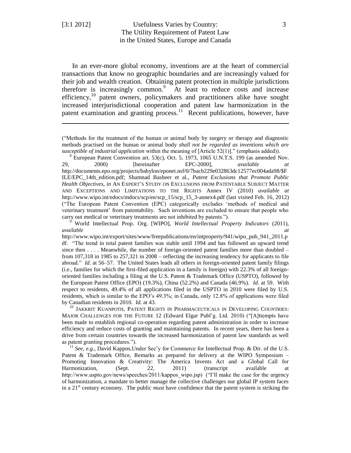$\overline{a}$ 

# [3:1 2012] Usefulness Varies by Country: 3 The Utility Requirement of Patent Law in the United States, Europe and Canada

<span id="page-5-0"></span>In an ever-more global economy, inventions are at the heart of commercial transactions that know no geographic boundaries and are increasingly valued for their job and wealth creation. Obtaining patent protection in multiple jurisdictions therefore is increasingly common.<sup>9</sup> At least to reduce costs and increase efficiency,<sup>10</sup> patent owners, policymakers and practitioners alike have sought increased interjurisdictional cooperation and patent law harmonization in the patent examination and granting process.<sup>11</sup> Recent publications, however, have

("Methods for the treatment of the human or animal body by surgery or therapy and diagnostic methods practised on the human or animal body *shall not be regarded as inventions which are susceptible of industrial application* within the meaning of [Article 52(1)]." (emphasis added)).

<sup>8</sup> European Patent Convention art. 53(c), Oct. 5, 1973, 1065 U.N.T.S. 199 (as amended Nov. 29, 2000) [hereinafter EPC-2000], *available* http://documents.epo.org/projects/babylon/eponet.nsf/0/7bacb229e032863dc12577ec004ada98/\$F ILE/EPC\_14th\_edition.pdf; Shamnad Basheer et al., *Patent Exclusions that Promote Public Health Objectives*, *in* AN EXPERT'S STUDY ON EXCLUSIONS FROM PATENTABLE SUBJECT MATTER AND EXCEPTIONS AND LIMITATIONS TO THE RIGHTS Annex IV (2010) *available at*  http://www.wipo.int/edocs/mdocs/scp/en/scp\_15/scp\_15\_3-annex4.pdf (last visited Feb. 16, 2012) ("The European Patent Convention (EPC) categorically excludes 'methods of medical and veterinary treatment' from patentability. Such inventions are excluded to ensure that people who carry out medical or veterinary treatments are not inhibited by patents.").

<sup>9</sup> World Intellectual Prop. Org. [WIPO], *World Intellectual Property Indicators* (2011), *available at* 

http://www.wipo.int/export/sites/www/freepublications/en/intproperty/941/wipo\_pub\_941\_2011.p df. "The trend in total patent families was stable until 1994 and has followed an upward trend since then  $\dots$ . Meanwhile, the number of foreign-oriented patent families more than doubled – from 107,318 in 1985 to 257,321 in 2008 – reflecting the increasing tendency for applicants to file abroad." *Id.* at 56–57. The United States leads all others in foreign-oriented patent family filings (i.e., families for which the first-filed application in a family is foreign) with 22.3% of all foreignoriented families including a filing at the U.S. Patent & Trademark Office (USPTO), followed by the European Patent Office (EPO) (19.3%), China (52.2%) and Canada (46.9%). *Id.* at 59. With respect to residents, 49.4% of all applications filed in the USPTO in 2010 were filed by U.S. residents, which is similar to the EPO's 49.3%; in Canada, only 12.8% of applications were filed by Canadian residents in 2010. *Id.* at 43.

<sup>10</sup> JAKKRIT KUANPOTH, PATENT RIGHTS IN PHARMACEUTICALS IN DEVELOPING COUNTRIES: MAJOR CHALLENGES FOR THE FUTURE 12 (Edward Elgar Publ'g. Ltd. 2010) ("[A]ttempts have been made to establish regional co-operation regarding patent administration in order to increase efficiency and reduce costs of granting and maintaining patents. In recent years, there has been a drive from certain countries towards the increased harmonization of patent law standards as well as patent granting procedures.").

<sup>11</sup> *See, e.g.*, David Kappos, Under Sec'y for Commerce for Intellectual Prop. & Dir. of the U.S. Patent & Trademark Office, Remarks as prepared for delivery at the WIPO Symposium – Promoting Innovation & Creativity: The America Invents Act and a Global Call for Harmonization, (Sept. 22, 2011) (transcript available at http://www.uspto.gov/news/speeches/2011/kappos\_wipo.jsp) ("I'll make the case for the urgency of harmonization, a mandate to better manage the collective challenges our global IP system faces in a  $21<sup>st</sup>$  century economy. The public *must* have confidence that the patent system is striking the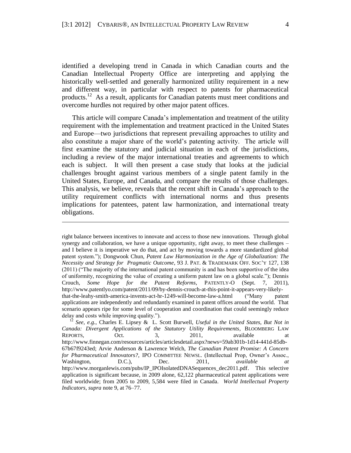identified a developing trend in Canada in which Canadian courts and the Canadian Intellectual Property Office are interpreting and applying the historically well-settled and generally harmonized utility requirement in a new and different way, in particular with respect to patents for pharmaceutical products.<sup>12</sup> As a result, applicants for Canadian patents must meet conditions and overcome hurdles not required by other major patent offices.

<span id="page-6-0"></span>This article will compare Canada's implementation and treatment of the utility requirement with the implementation and treatment practiced in the United States and Europe—two jurisdictions that represent prevailing approaches to utility and also constitute a major share of the world's patenting activity. The article will first examine the statutory and judicial situation in each of the jurisdictions, including a review of the major international treaties and agreements to which each is subject. It will then present a case study that looks at the judicial challenges brought against various members of a single patent family in the United States, Europe, and Canada, and compare the results of those challenges. This analysis, we believe, reveals that the recent shift in Canada's approach to the utility requirement conflicts with international norms and thus presents implications for patentees, patent law harmonization, and international treaty obligations.

right balance between incentives to innovate and access to those new innovations. Through global synergy and collaboration, we have a unique opportunity, right away, to meet these challenges – and I believe it is imperative we do that, and act by moving towards a more standardized global patent system."); Dongwook Chun, *Patent Law Harmonization in the Age of Globalization: The Necessity and Strategy for Pragmatic Outcome*, 93 J. PAT. & TRADEMARK OFF. SOC'Y 127, 138 (2011) ("The majority of the international patent community is and has been supportive of the idea of uniformity, recognizing the value of creating a uniform patent law on a global scale."); Dennis Crouch, *Some Hope for the Patent Reforms*, PATENTLY-O (Sept. 7, 2011), http://www.patentlyo.com/patent/2011/09/by-dennis-crouch-at-this-point-it-appears-very-likelythat-the-leahy-smith-america-invents-act-hr-1249-will-become-law-a.html ("Many patent applications are independently and redundantly examined in patent offices around the world. That scenario appears ripe for some level of cooperation and coordination that could seemingly reduce delay and costs while improving quality.").

<sup>12</sup> *See, e.g.*, Charles E. Lipsey & L. Scott Burwell, *Useful in the United States, But Not in Canada: Divergent Applications of the Statutory Utility Requirements*, BLOOMBERG LAW REPORTS, Oct. 3, 2011, available at http://www.finnegan.com/resources/articles/articlesdetail.aspx?news=59ab301b-1d14-441d-85db-67b67f9243ed; Arvie Anderson & Lawrence Welch, *The Canadian Patent Promise: A Concern for Pharmaceutical Innovators?*, IPO COMMITTEE NEWSL. (Intellectual Prop, Owner's Assoc., Washington, D.C.), Dec. 2011, *available at*  http://www.morganlewis.com/pubs/IP\_IPOIsolatedDNASequences\_dec2011.pdf. This selective application is significant because, in 2009 alone, 62,122 pharmaceutical patent applications were filed worldwide; from 2005 to 2009, 5,584 were filed in Canada. *World Intellectual Property Indicators*, *supra* note [9,](#page-5-0) at 76–77.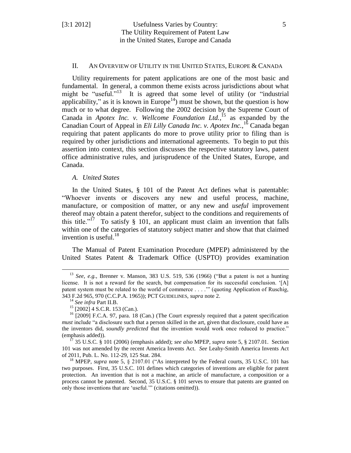# [3:1 2012] Usefulness Varies by Country: 5 The Utility Requirement of Patent Law in the United States, Europe and Canada

#### <span id="page-7-3"></span><span id="page-7-0"></span>II. AN OVERVIEW OF UTILITY IN THE UNITED STATES, EUROPE & CANADA

Utility requirements for patent applications are one of the most basic and fundamental. In general, a common theme exists across jurisdictions about what might be "useful."<sup>13</sup> It is agreed that some level of utility (or "industrial") applicability," as it is known in Europe<sup>14</sup>) must be shown, but the question is how much or to what degree. Following the 2002 decision by the Supreme Court of Canada in *Apotex Inc. v. Wellcome Foundation Ltd.*<sup>15</sup> as expanded by the Canadian Court of Appeal in *Eli Lilly Canada Inc. v. Apotex Inc.*, <sup>16</sup> Canada began requiring that patent applicants do more to prove utility prior to filing than is required by other jurisdictions and international agreements. To begin to put this assertion into context, this section discusses the respective statutory laws, patent office administrative rules, and jurisprudence of the United States, Europe, and Canada.

#### <span id="page-7-4"></span><span id="page-7-1"></span>*A. United States*

In the United States, § 101 of the Patent Act defines what is patentable: "Whoever invents or discovers any new and useful process, machine, manufacture, or composition of matter, or any new and *useful* improvement thereof may obtain a patent therefor, subject to the conditions and requirements of this title."<sup>17</sup> To satisfy § 101, an applicant must claim an invention that falls within one of the categories of statutory subject matter and show that that claimed invention is useful. $^{18}$ 

<span id="page-7-2"></span>The Manual of Patent Examination Procedure (MPEP) administered by the United States Patent & Trademark Office (USPTO) provides examination

<sup>13</sup> *See, e.g.*, Brenner v. Manson, 383 U.S. 519, 536 (1966) ("But a patent is not a hunting license. It is not a reward for the search, but compensation for its successful conclusion. '[A] patent system must be related to the world of commerce . . . .'" (quoting Application of Ruschig, 343 F.2d 965, 970 (C.C.P.A. 1965)); PCT GUIDELINES, *supra* note [2.](#page-4-1)

<sup>14</sup> *See infra* Part II.B.

<sup>15</sup> [2002] 4 S.C.R. 153 (Can.).

<sup>&</sup>lt;sup>16</sup> [2009] F.C.A. 97, para. 18 (Can.) (The Court expressly required that a patent specification *must* include "a disclosure such that a person skilled in the art, given that disclosure, could have as the inventors did, *soundly predicted* that the invention would work once reduced to practice." (emphasis added)).

<sup>17</sup> 35 U.S.C. § 101 (2006) (emphasis added); *see also* MPEP, *supra* note [5,](#page-4-2) § 2107.01. Section 101 was not amended by the recent America Invents Act. *See* Leahy-Smith America Invents Act of 2011, Pub. L. No. 112-29, 125 Stat. 284.

<sup>&</sup>lt;sup>18</sup> MPEP, *supra* note [5,](#page-4-2) § 2107.01 ("As interpreted by the Federal courts, 35 U.S.C. 101 has two purposes. First, 35 U.S.C. 101 defines which categories of inventions are eligible for patent protection. An invention that is not a machine, an article of manufacture, a composition or a process cannot be patented. Second, 35 U.S.C. § 101 serves to ensure that patents are granted on only those inventions that are 'useful.'" (citations omitted)).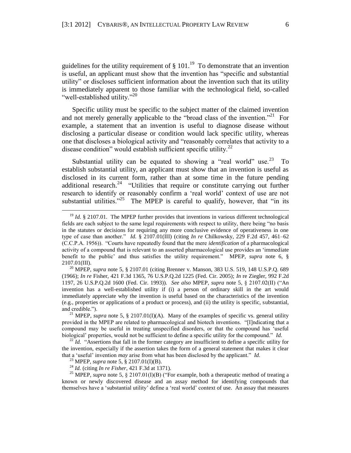guidelines for the utility requirement of  $\S 101$ .<sup>19</sup> To demonstrate that an invention is useful, an applicant must show that the invention has "specific and substantial utility" or discloses sufficient information about the invention such that its utility is immediately apparent to those familiar with the technological field, so-called "well-established utility."<sup>20</sup>

Specific utility must be specific to the subject matter of the claimed invention and not merely generally applicable to the "broad class of the invention."<sup>21</sup> For example, a statement that an invention is useful to diagnose disease without disclosing a particular disease or condition would lack specific utility, whereas one that discloses a biological activity and "reasonably correlates that activity to a disease condition" would establish sufficient specific utility.<sup>22</sup>

Substantial utility can be equated to showing a "real world" use. $23$  To establish substantial utility, an applicant must show that an invention is useful as disclosed in its current form, rather than at some time in the future pending additional research.<sup>24</sup> "Utilities that require or constitute carrying out further research to identify or reasonably confirm a 'real world' context of use are not substantial utilities."<sup>25</sup> The MPEP is careful to qualify, however, that "in its

<sup>20</sup> MPEP, *supra* note [5,](#page-4-2) § 2107.01 (citing Brenner v. Manson, 383 U.S. 519, 148 U.S.P.Q. 689 (1966); *In re* Fisher, 421 F.3d 1365, 76 U.S.P.Q.2d 1225 (Fed. Cir. 2005); *In* re Ziegler, 992 F.2d 1197, 26 U.S.P.Q.2d 1600 (Fed. Cir. 1993)). *See also* MPEP, *supra* note [5,](#page-4-2) § 2107.02(II) ("An invention has a well-established utility if (i) a person of ordinary skill in the art would immediately appreciate why the invention is useful based on the characteristics of the invention (e.g., properties or applications of a product or process), and (ii) the utility is specific, substantial, and credible.").

<sup>21</sup> MPEP, *supra* note [5,](#page-4-2) § 2107.01(I)(A). Many of the examples of specific vs. general utility provided in the MPEP are related to pharmacological and biotech inventions. "[I]ndicating that a compound may be useful in treating unspecified disorders, or that the compound has 'useful biological' properties, would not be sufficient to define a specific utility for the compound." *Id.*

 $^{22}$ *Id.* "Assertions that fall in the former category are insufficient to define a specific utility for the invention, especially if the assertion takes the form of a general statement that makes it clear that a 'useful' invention *may* arise from what has been disclosed by the applicant." *Id.*

<sup>23</sup> MPEP, *supra* not[e 5,](#page-4-2) § 2107.01(I)(B).

 $\overline{a}$ 

<sup>24</sup> *Id.* (citing *In re Fisher*, 421 F.3d at 1371).

<sup>25</sup> MPEP, *supra* note [5,](#page-4-2) § 2107.01(I)(B) ("For example, both a therapeutic method of treating a known or newly discovered disease and an assay method for identifying compounds that themselves have a 'substantial utility' define a 'real world' context of use. An assay that measures

<sup>&</sup>lt;sup>19</sup> *Id.* § 2107.01. The MPEP further provides that inventions in various different technological fields are each subject to the same legal requirements with respect to utility, there being "no basis in the statutes or decisions for requiring any more conclusive evidence of operativeness in one type of case than another." *Id.* § 2107.01(III) (citing *In re* Chilkowsky, 229 F.2d 457, 461–62 (C.C.P.A. 1956)). "Courts have repeatedly found that the mere *identification* of a pharmacological activity of a compound that is relevant to an asserted pharmacological use provides an 'immediate benefit to the public' and thus satisfies the utility requirement." MPEP, *supra* note 6, § 2107.01(III).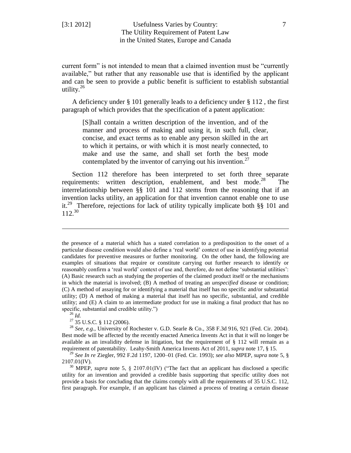current form" is not intended to mean that a claimed invention must be "currently available," but rather that any reasonable use that is identified by the applicant and can be seen to provide a public benefit is sufficient to establish substantial utility.<sup>26</sup>

A deficiency under § 101 generally leads to a deficiency under § 112 , the first paragraph of which provides that the specification of a patent application:

[S]hall contain a written description of the invention, and of the manner and process of making and using it, in such full, clear, concise, and exact terms as to enable any person skilled in the art to which it pertains, or with which it is most nearly connected, to make and use the same, and shall set forth the best mode contemplated by the inventor of carrying out his invention.<sup>27</sup>

Section 112 therefore has been interpreted to set forth three separate requirements: written description, enablement, and best mode.<sup>28</sup> The interrelationship between §§ 101 and 112 stems from the reasoning that if an invention lacks utility, an application for that invention cannot enable one to use it.<sup>29</sup> Therefore, rejections for lack of utility typically implicate both §§ 101 and  $112^{30}$ 

<sup>26</sup> *Id.*

 $\overline{a}$ 

 $27\frac{127}{35}$  U.S.C. § 112 (2006).

the presence of a material which has a stated correlation to a predisposition to the onset of a particular disease condition would also define a 'real world' context of use in identifying potential candidates for preventive measures or further monitoring. On the other hand, the following are examples of situations that require or constitute carrying out further research to identify or reasonably confirm a 'real world' context of use and, therefore, do not define 'substantial utilities': (A) Basic research such as studying the properties of the claimed product itself or the mechanisms in which the material is involved; (B) A method of treating an *unspecified* disease or condition; (C) A method of assaying for or identifying a material that itself has no specific and/or substantial utility; (D) A method of making a material that itself has no specific, substantial, and credible utility; and (E) A claim to an intermediate product for use in making a final product that has no specific, substantial and credible utility.")

<sup>28</sup> *See, e.g.*, University of Rochester v. G.D. Searle & Co., 358 F.3d 916, 921 (Fed. Cir. 2004). Best mode will be affected by the recently enacted America Invents Act in that it will no longer be available as an invalidity defense in litigation, but the requirement of § 112 will remain as a requirement of patentability. Leahy-Smith America Invents Act of 2011, *supra* not[e 17,](#page-7-2) § 15.

<sup>29</sup> *See In re* Ziegler, 992 F.2d 1197, 1200–01 (Fed. Cir. 1993); *see also* MPEP, *supra* note [5,](#page-4-2) § 2107.01(IV).

<sup>&</sup>lt;sup>30</sup> MPEP, *supra* note 5, § 2107.01(IV) ("The fact that an applicant has disclosed a specific utility for an invention and provided a credible basis supporting that specific utility does not provide a basis for concluding that the claims comply with all the requirements of 35 U.S.C. 112, first paragraph. For example, if an applicant has claimed a process of treating a certain disease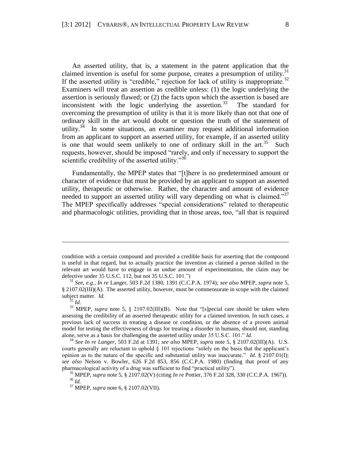An asserted utility, that is, a statement in the patent application that the claimed invention is useful for some purpose, creates a presumption of utility.<sup>31</sup> If the asserted utility is "credible," rejection for lack of utility is inappropriate. $32$ Examiners will treat an assertion as credible unless: (1) the logic underlying the assertion is seriously flawed; or (2) the facts upon which the assertion is based are inconsistent with the logic underlying the assertion.<sup>33</sup> The standard for overcoming the presumption of utility is that it is more likely than not that one of ordinary skill in the art would doubt or question the truth of the statement of utility.<sup>34</sup> In some situations, an examiner may request additional information from an applicant to support an asserted utility, for example, if an asserted utility is one that would seem unlikely to one of ordinary skill in the  $art.^{35}$  Such requests, however, should be imposed "rarely, and only if necessary to support the scientific credibility of the asserted utility. $^{356}$ 

Fundamentally, the MPEP states that "[t]here is no predetermined amount or character of evidence that must be provided by an applicant to support an asserted utility, therapeutic or otherwise. Rather, the character and amount of evidence needed to support an asserted utility will vary depending on what is claimed."<sup>37</sup> The MPEP specifically addresses "special considerations" related to therapeutic and pharmacologic utilities, providing that in those areas, too, "all that is required

condition with a certain compound and provided a credible basis for asserting that the compound is useful in that regard, but to actually practice the invention as claimed a person skilled in the relevant art would have to engage in an undue amount of experimentation, the claim may be defective under 35 U.S.C. 112, but not 35 U.S.C. 101.")

<sup>31</sup> *See, e.g.*, *In re* Langer, 503 F.2d 1380, 1391 (C.C.P.A. 1974); *see also* MPEP, *supra* note [5,](#page-4-2) § 2107.02(III)(A). The asserted utility, however, must be commensurate in scope with the claimed subject matter. *Id.*

 $\frac{32}{32}$  *Id.* 

<sup>&</sup>lt;sup>33</sup> MPEP, *supra* note [5,](#page-4-2) § 2107.02(III)(B). Note that "[s]pecial care should be taken when assessing the credibility of an asserted therapeutic utility for a claimed invention. In such cases, a previous lack of success in treating a disease or condition, or the absence of a proven animal model for testing the effectiveness of drugs for treating a disorder in humans, should not, standing alone, serve as a basis for challenging the asserted utility under 35 U.S.C. 101." *Id.*

<sup>34</sup> *See In re Langer*, 503 F.2d at 1391; *see also* MPEP, *supra* note [5,](#page-4-2) § 2107.02(III)(A). U.S. courts generally are reluctant to uphold  $\S$  101 rejections "solely on the basis that the applicant's opinion as to the nature of the specific and substantial utility was inaccurate." *Id.* § 2107.01(I); *see also* Nelson v. Bowler, 626 F.2d 853, 856 (C.C.P.A. 1980) (finding that proof of any pharmacological activity of a drug was sufficient to find "practical utility").

<sup>35</sup> MPEP, *supra* not[e 5,](#page-4-2) § 2107.02(V) (citing *In re* Pottier, 376 F.2d 328, 330 (C.C.P.A. 1967)). <sup>36</sup> *Id.*

<sup>37</sup> MPEP, *supra* note 6, § 2107.02(VII).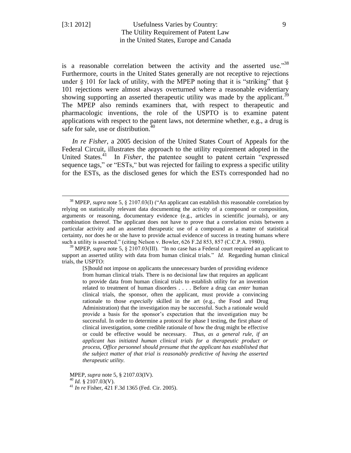$\overline{a}$ 

# [3:1 2012] Usefulness Varies by Country: 9 The Utility Requirement of Patent Law in the United States, Europe and Canada

is a reasonable correlation between the activity and the asserted use.<sup>38</sup> Furthermore, courts in the United States generally are not receptive to rejections under  $\S$  101 for lack of utility, with the MPEP noting that it is "striking" that  $\S$ 101 rejections were almost always overturned where a reasonable evidentiary showing supporting an asserted therapeutic utility was made by the applicant.<sup>39</sup> The MPEP also reminds examiners that, with respect to therapeutic and pharmacologic inventions, the role of the USPTO is to examine patent applications with respect to the patent laws, not determine whether, e.g., a drug is safe for sale, use or distribution.<sup>40</sup>

*In re Fisher*, a 2005 decision of the United States Court of Appeals for the Federal Circuit, illustrates the approach to the utility requirement adopted in the United States.<sup>41</sup> In *Fisher*, the patentee sought to patent certain "expressed sequence tags," or "ESTs," but was rejected for failing to express a specific utility for the ESTs, as the disclosed genes for which the ESTs corresponded had no

[S]hould not impose on applicants the unnecessary burden of providing evidence from human clinical trials. There is no decisional law that requires an applicant to provide data from human clinical trials to establish utility for an invention related to treatment of human disorders . . . . Before a drug can *enter* human clinical trials, the sponsor, often the applicant, must provide a convincing rationale to those *especially* skilled in the art (e.g., the Food and Drug Administration) that the investigation may be successful. Such a rationale would provide a basis for the sponsor's expectation that the investigation may be successful. In order to determine a protocol for phase I testing, the first phase of clinical investigation, some credible rationale of how the drug might be effective or could be effective would be necessary. *Thus, as a general rule, if an applicant has initiated human clinical trials for a therapeutic product or process, Office personnel should presume that the applicant has established that the subject matter of that trial is reasonably predictive of having the asserted therapeutic utility.*

MPEP, *supra* note 5, § 2107.03(IV).

<sup>40</sup> *Id.* § 2107.03(V).

<sup>41</sup> *In re* Fisher, 421 F.3d 1365 (Fed. Cir. 2005).

<sup>38</sup> MPEP, *supra* note 5, § 2107.03(I) ("An applicant can establish this reasonable correlation by relying on statistically relevant data documenting the activity of a compound or composition, arguments or reasoning, documentary evidence (e.g., articles in scientific journals), or any combination thereof. The applicant does not have to prove that a correlation exists between a particular activity and an asserted therapeutic use of a compound as a matter of statistical certainty, nor does he or she have to provide actual evidence of success in treating humans where such a utility is asserted." (citing Nelson v. Bowler, 626 F.2d 853, 857 (C.C.P.A. 1980)).

<sup>&</sup>lt;sup>39</sup> MPEP, *supra* note 5, § 2107.03(III). "In no case has a Federal court required an applicant to support an asserted utility with data from human clinical trials." *Id.* Regarding human clinical trials, the USPTO: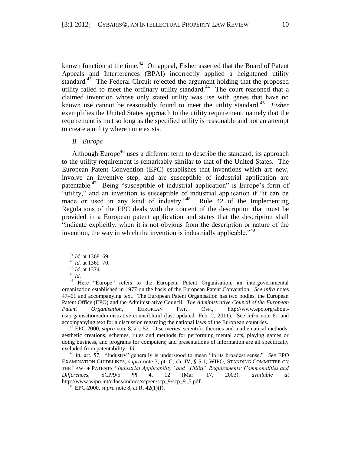known function at the time.<sup>42</sup> On appeal, Fisher asserted that the Board of Patent Appeals and Interferences (BPAI) incorrectly applied a heightened utility standard.<sup>43</sup> The Federal Circuit rejected the argument holding that the proposed utility failed to meet the ordinary utility standard.<sup>44</sup> The court reasoned that a claimed invention whose only stated utility was use with genes that have no known use cannot be reasonably found to meet the utility standard.<sup>45</sup> *Fisher* exemplifies the United States approach to the utility requirement, namely that the requirement is met so long as the specified utility is reasonable and not an attempt to create a utility where none exists.

<span id="page-12-2"></span>*B. Europe*

<span id="page-12-1"></span><span id="page-12-0"></span>Although Europe<sup>46</sup> uses a different term to describe the standard, its approach to the utility requirement is remarkably similar to that of the United States. The European Patent Convention (EPC) establishes that inventions which are new, involve an inventive step, and are susceptible of industrial application are patentable.<sup>47</sup> Being "susceptible of industrial application" is Europe's form of "utility," and an invention is susceptible of industrial application if "it can be made or used in any kind of industry."<sup>48</sup> Rule 42 of the Implementing Regulations of the EPC deals with the content of the description that must be provided in a European patent application and states that the description shall "indicate explicitly, when it is not obvious from the description or nature of the invention, the way in which the invention is industrially applicable."<sup>49</sup>

 $\overline{a}$ 

<sup>47</sup> EPC-2000, *supra* note 8, art. 52. Discoveries, scientific theories and mathematical methods; aesthetic creations; schemes, rules and methods for performing mental acts, playing games or doing business, and programs for computers; and presentations of information are all specifically excluded from patentability. *Id.*

<sup>48</sup> *Id.* art. 57. "Industry" generally is understood to mean "in its broadest sense." *See* EPO EXAMINATION GUIDELINES, *supra* note [3,](#page-4-3) pt. C, ch. IV, § 5.1; WIPO, STANDING COMMITTEE ON THE LAW OF PATENTS, "*Industrial Applicability" and "Utility" Requirements: Commonalities and Differences*, SCP/9/5 ¶¶ 4, 12 (Mar. 17, 2003), *available at*  http://www.wipo.int/edocs/mdocs/scp/en/scp\_9/scp\_9\_5.pdf.

<sup>49</sup> EPC-2000, *supra* note 8, at R. 42(1)(f).

<sup>42</sup> *Id.* at 1368–69.

<sup>43</sup> *Id.* at 1369–70.

<sup>44</sup> *Id.* at 1374.

<sup>45</sup> *Id.*

<sup>&</sup>lt;sup>46</sup> Here "Europe" refers to the European Patent Organisation, an intergovernmental organization established in 1977 on the basis of the European Patent Convention. *See infra* notes [47](#page-12-1)[–61](#page-14-0) and accompanying text. The European Patent Organisation has two bodies, the European Patent Office (EPO) and the Administrative Council. *The Administrative Council of the European Patent Organisation*, EUROPEAN PAT. OFF., http://www.epo.org/aboutus/organisation/administrative-council.html (last updated Feb. 2, 2011). See *infra* note 61 and accompanying text for a discussion regarding the national laws of the European countries.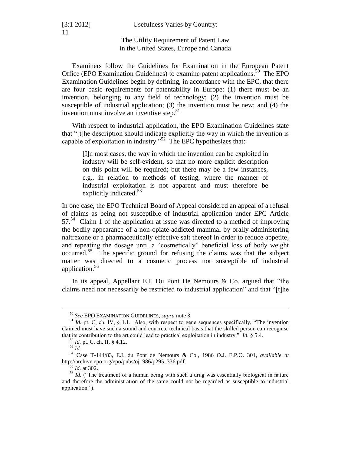11

[3:1 2012] Usefulness Varies by Country:

# The Utility Requirement of Patent Law in the United States, Europe and Canada

Examiners follow the Guidelines for Examination in the European Patent Office (EPO Examination Guidelines) to examine patent applications.<sup>50</sup> The EPO Examination Guidelines begin by defining, in accordance with the EPC, that there are four basic requirements for patentability in Europe: (1) there must be an invention, belonging to any field of technology; (2) the invention must be susceptible of industrial application; (3) the invention must be new; and (4) the invention must involve an inventive step. $51$ 

With respect to industrial application, the EPO Examination Guidelines state that "[t]he description should indicate explicitly the way in which the invention is capable of exploitation in industry."<sup>52</sup> The EPC hypothesizes that:

[I]n most cases, the way in which the invention can be exploited in industry will be self-evident, so that no more explicit description on this point will be required; but there may be a few instances, e.g., in relation to methods of testing, where the manner of industrial exploitation is not apparent and must therefore be explicitly indicated.<sup>53</sup>

In one case, the EPO Technical Board of Appeal considered an appeal of a refusal of claims as being not susceptible of industrial application under EPC Article 57.<sup>54</sup> Claim 1 of the application at issue was directed to a method of improving the bodily appearance of a non-opiate-addicted mammal by orally administering naltrexone or a pharmaceutically effective salt thereof in order to reduce appetite, and repeating the dosage until a "cosmetically" beneficial loss of body weight occurred.<sup>55</sup> The specific ground for refusing the claims was that the subject matter was directed to a cosmetic process not susceptible of industrial application.<sup>56</sup>

In its appeal, Appellant E.I. Du Pont De Nemours & Co. argued that "the claims need not necessarily be restricted to industrial application" and that "[t]he

<sup>50</sup> *See* EPO EXAMINATION GUIDELINES, *supra* note [3.](#page-4-3)

 $<sup>51</sup>$  *Id.* pt. C, ch. IV,  $\&$  1.1. Also, with respect to gene sequences specifically, "The invention</sup> claimed must have such a sound and concrete technical basis that the skilled person can recognise that its contribution to the art could lead to practical exploitation in industry." *Id.* § 5.4.

<sup>52</sup> *Id.* pt. C, ch. II, § 4.12.

<sup>53</sup> *Id.*

<sup>54</sup> Case T-144/83, E.I. du Pont de Nemours & Co., 1986 O.J. E.P.O. 301, *available at*  http://archive.epo.org/epo/pubs/oj1986/p295\_336.pdf.

<sup>55</sup> *Id.* at 302.

<sup>&</sup>lt;sup>56</sup> *Id.* ("The treatment of a human being with such a drug was essentially biological in nature and therefore the administration of the same could not be regarded as susceptible to industrial application.").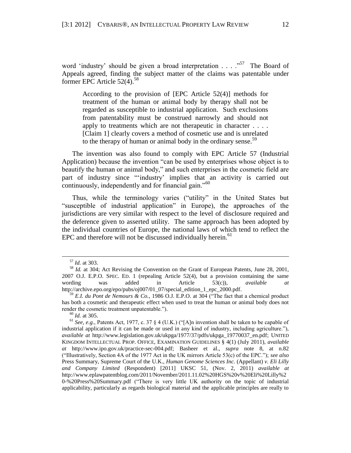word 'industry' should be given a broad interpretation  $\ldots$  ... <sup>57</sup> The Board of Appeals agreed, finding the subject matter of the claims was patentable under former EPC Article 52(4).<sup>58</sup>

According to the provision of [EPC Article 52(4)] methods for treatment of the human or animal body by therapy shall not be regarded as susceptible to industrial application. Such exclusions from patentability must be construed narrowly and should not apply to treatments which are not therapeutic in character . . . . [Claim 1] clearly covers a method of cosmetic use and is unrelated to the therapy of human or animal body in the ordinary sense.<sup>59</sup>

The invention was also found to comply with EPC Article 57 (Industrial Application) because the invention "can be used by enterprises whose object is to beautify the human or animal body," and such enterprises in the cosmetic field are part of industry since "'industry' implies that an activity is carried out continuously, independently and for financial gain."<sup>60</sup>

Thus, while the terminology varies ("utility" in the United States but "susceptible of industrial application" in Europe), the approaches of the jurisdictions are very similar with respect to the level of disclosure required and the deference given to asserted utility. The same approach has been adopted by the individual countries of Europe, the national laws of which tend to reflect the EPC and therefore will not be discussed individually herein.<sup>61</sup>

 $\overline{a}$ 

<sup>60</sup> *Id.* at 305.

<span id="page-14-0"></span><sup>57</sup> *Id.* at 303.

<sup>58</sup> *Id.* at 304; Act Revising the Convention on the Grant of European Patents, June 28, 2001, 2007 O.J. E.P.O. SPEC. ED. 1 (repealing Article 52(4), but a provision containing the same wording was added in Article 53(c)), *available at*  http://archive.epo.org/epo/pubs/oj007/01\_07/special\_edition\_1\_epc\_2000.pdf.

<sup>59</sup> *E.I. du Pont de Nemours & Co.*, 1986 O.J. E.P.O. at 304 ("The fact that a chemical product has both a cosmetic and therapeutic effect when used to treat the human or animal body does not render the cosmetic treatment unpatentable.").

<sup>61</sup> *See, e.g.*, Patents Act, 1977, c. 37 § 4 (U.K.) ("[A]n invention shall be taken to be capable of industrial application if it can be made or used in any kind of industry, including agriculture."), *available at* http://www.legislation.gov.uk/ukpga/1977/37/pdfs/ukpga\_19770037\_en.pdf; UNITED KINGDOM INTELLECTUAL PROP. OFFICE, EXAMINATION GUIDELINES § 4(1) (July 2011), *available at* http://www.ipo.gov.uk/practice-sec-004.pdf; Basheer et al., *supra* note [8,](#page-4-4) at n.82 ("Illustratively, Section 4A of the 1977 Act in the UK mirrors Article 53(c) of the EPC."); *see also*  Press Summary, Supreme Court of the U.K., *Human Genome Sciences Inc.* (Appellant) *v. Eli Lilly and Company Limited* (Respondent) [2011] UKSC 51, (Nov. 2, 2011) *available at*  http://www.eplawpatentblog.com/2011/November/2011.11.02%20HGS%20v%20Eli%20Lilly%2 0-%20Press%20Summary.pdf ("There is very little UK authority on the topic of industrial applicability, particularly as regards biological material and the applicable principles are really to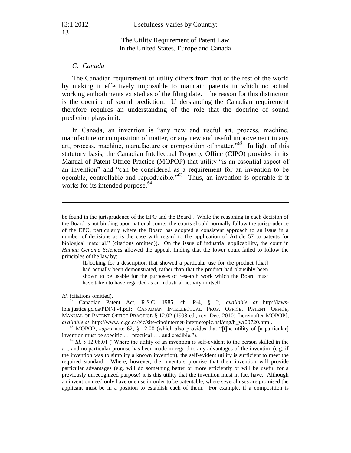<span id="page-15-1"></span>The Utility Requirement of Patent Law in the United States, Europe and Canada

# <span id="page-15-0"></span>*C. Canada*

The Canadian requirement of utility differs from that of the rest of the world by making it effectively impossible to maintain patents in which no actual working embodiments existed as of the filing date. The reason for this distinction is the doctrine of sound prediction. Understanding the Canadian requirement therefore requires an understanding of the role that the doctrine of sound prediction plays in it.

In Canada, an invention is "any new and useful art, process, machine, manufacture or composition of matter, or any new and useful improvement in any art, process, machine, manufacture or composition of matter." $\delta^2$  In light of this statutory basis, the Canadian Intellectual Property Office (CIPO) provides in its Manual of Patent Office Practice (MOPOP) that utility "is an essential aspect of an invention" and "can be considered as a requirement for an invention to be operable, controllable and reproducible.<sup> $563$ </sup> Thus, an invention is operable if it works for its intended purpose.<sup>64</sup>

be found in the jurisprudence of the EPO and the Board . While the reasoning in each decision of the Board is not binding upon national courts, the courts should normally follow the jurisprudence of the EPO, particularly where the Board has adopted a consistent approach to an issue in a number of decisions as is the case with regard to the application of Article 57 to patents for biological material." (citations omitted)). On the issue of industrial applicability, the court in *Human Genome Sciences* allowed the appeal, finding that the lower court failed to follow the principles of the law by:

[L]ooking for a description that showed a particular use for the product [that] had actually been demonstrated, rather than that the product had plausibly been shown to be usable for the purposes of research work which the Board must have taken to have regarded as an industrial activity in itself.

*Id.* (citations omitted).

 $\overline{a}$ 

<sup>62</sup> Canadian Patent Act, R.S.C. 1985, ch. P-4, § 2, *available at* http://lawslois.justice.gc.ca/PDF/P-4.pdf; CANADIAN INTELLECTUAL PROP. OFFICE, PATENT OFFICE, MANUAL OF PATENT OFFICE PRACTICE § 12.02 (1998 ed., rev. Dec. 2010) [hereinafter MOPOP], *available at* http://www.ic.gc.ca/eic/site/cipointernet-internetopic.nsf/eng/h\_wr00720.html.

<sup>63</sup> MOPOP, *supra* note 62, § 12.08 (which also provides that "[t]he utility of [a particular] invention must be specific . . . practical . . . and credible.").

<sup>64</sup> *Id.* § 12.08.01 ("Where the utility of an invention is self-evident to the person skilled in the art, and no particular promise has been made in regard to any advantages of the invention (e.g. if the invention was to simplify a known invention), the self-evident utility is sufficient to meet the required standard. Where, however, the inventors promise that their invention will provide particular advantages (e.g. will do something better or more efficiently or will be useful for a previously unrecognized purpose) it is this utility that the invention must in fact have. Although an invention need only have one use in order to be patentable, where several uses are promised the applicant must be in a position to establish each of them. For example, if a composition is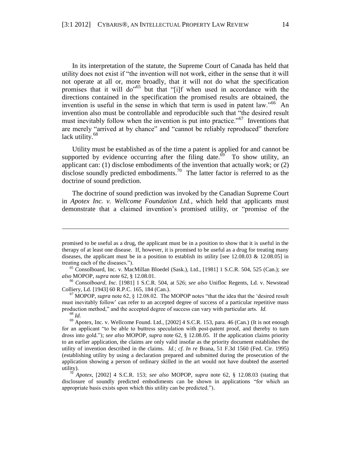In its interpretation of the statute, the Supreme Court of Canada has held that utility does not exist if "the invention will not work, either in the sense that it will not operate at all or, more broadly, that it will not do what the specification promises that it will do"<sup>65</sup> but that "[i]f when used in accordance with the directions contained in the specification the promised results are obtained, the invention is useful in the sense in which that term is used in patent law."<sup>66</sup> An invention also must be controllable and reproducible such that "the desired result must inevitably follow when the invention is put into practice."<sup>67</sup> Inventions that are merely "arrived at by chance" and "cannot be reliably reproduced" therefore lack utility.<sup>68</sup>

Utility must be established as of the time a patent is applied for and cannot be supported by evidence occurring after the filing date. $69$ To show utility, an applicant can: (1) disclose embodiments of the invention that actually work; or (2) disclose soundly predicted embodiments.<sup>70</sup> The latter factor is referred to as the doctrine of sound prediction.

The doctrine of sound prediction was invoked by the Canadian Supreme Court in *Apotex Inc. v. Wellcome Foundation Ltd.*, which held that applicants must demonstrate that a claimed invention's promised utility, or "promise of the

promised to be useful as a drug, the applicant must be in a position to show that it is useful in the therapy of at least one disease. If, however, it is promised to be useful as a drug for treating many diseases, the applicant must be in a position to establish its utility [see 12.08.03  $\&$  12.08.05] in treating each of the diseases.").

<sup>65</sup> Consolboard, Inc. v. MacMillan Bloedel (Sask.), Ltd., [1981] 1 S.C.R. 504, 525 (Can.); *see also* MOPOP, *supra* note 62, § 12.08.01.

<sup>66</sup> *Consolboard, Inc*. [1981] 1 S.C.R. 504, at 526; *see also* Unifloc Regents, Ld. v. Newstead Colliery, Ld. [1943] 60 R.P.C. 165, 184 (Can.).

<sup>&</sup>lt;sup>67</sup> MOPOP, *supra* note 62, § 12.08.02. The MOPOP notes "that the idea that the 'desired result must inevitably follow' can refer to an accepted degree of success of a particular repetitive mass production method," and the accepted degree of success can vary with particular arts. *Id.* <sup>68</sup> *Id.*

<sup>69</sup> Apotex, Inc. v. Wellcome Found. Ltd., [2002] 4 S.C.R. 153, para. 46 (Can.) (It is not enough for an applicant "to be able to buttress speculation with post-patent proof, and thereby to turn dross into gold."); *see also* MOPOP, *supra* note 62, § 12.08.05. If the application claims priority to an earlier application, the claims are only valid insofar as the priority document establishes the utility of invention described in the claims. *Id.*; *cf. In re* Brana, 51 F.3d 1560 (Fed. Cir. 1995) (establishing utility by using a declaration prepared and submitted during the prosecution of the application showing a person of ordinary skilled in the art would not have doubted the asserted utility).

<sup>70</sup> *Apotex*, [2002] 4 S.C.R. 153; *see also* MOPOP, *supra* note 62, § 12.08.03 (stating that disclosure of soundly predicted embodiments can be shown in applications "for which an appropriate basis exists upon which this utility can be predicted.").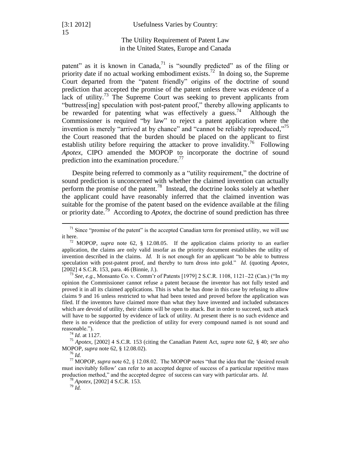[3:1 2012] Usefulness Varies by Country:

# The Utility Requirement of Patent Law in the United States, Europe and Canada

patent" as it is known in Canada, $^{71}$  is "soundly predicted" as of the filing or priority date if no actual working embodiment exists.<sup>72</sup> In doing so, the Supreme Court departed from the "patent friendly" origins of the doctrine of sound prediction that accepted the promise of the patent unless there was evidence of a lack of utility.<sup>73</sup> The Supreme Court was seeking to prevent applicants from "buttress[ing] speculation with post-patent proof," thereby allowing applicants to be rewarded for patenting what was effectively a guess.<sup>74</sup> Although the Commissioner is required "by law" to reject a patent application where the invention is merely "arrived at by chance" and "cannot be reliably reproduced,"<sup>75</sup> the Court reasoned that the burden should be placed on the applicant to first establish utility before requiring the attacker to prove invalidity.<sup>76</sup> Following *Apotex*, CIPO amended the MOPOP to incorporate the doctrine of sound prediction into the examination procedure.<sup>77</sup>

Despite being referred to commonly as a "utility requirement," the doctrine of sound prediction is unconcerned with whether the claimed invention can actually perform the promise of the patent.<sup>78</sup> Instead, the doctrine looks solely at whether the applicant could have reasonably inferred that the claimed invention was suitable for the promise of the patent based on the evidence available at the filing or priority date.<sup>79</sup> According to *Apotex*, the doctrine of sound prediction has three

<sup>73</sup> *See, e.g.*, Monsanto Co. v. Comm'r of Patents [1979] 2 S.C.R. 1108, 1121–22 (Can.) ("In my opinion the Commissioner cannot refuse a patent because the inventor has not fully tested and proved it in all its claimed applications. This is what he has done in this case by refusing to allow claims 9 and 16 unless restricted to what had been tested and proved before the application was filed. If the inventors have claimed more than what they have invented and included substances which are devoid of utility, their claims will be open to attack. But in order to succeed, such attack will have to be supported by evidence of lack of utility. At present there is no such evidence and there is no evidence that the prediction of utility for every compound named is not sound and reasonable.").

<sup>74</sup> *Id.* at 1127.

<sup>75</sup> *Apotex*, [2002] 4 S.C.R. 153 (citing the Canadian Patent Act, *supra* note 62, § 40; *see also* MOPOP, *supra* note 62, § 12.08.02).

<sup>76</sup> *Id.*

 $\overline{a}$ 

<sup>77</sup> MOPOP, *supra* note 62, § 12.08.02. The MOPOP notes "that the idea that the 'desired result must inevitably follow' can refer to an accepted degree of success of a particular repetitive mass production method," and the accepted degree of success can vary with particular arts. *Id.*

 $71$  Since "promise of the patent" is the accepted Canadian term for promised utility, we will use it here.

<sup>72</sup> MOPOP, *supra* note 62, § 12.08.05. If the application claims priority to an earlier application, the claims are only valid insofar as the priority document establishes the utility of invention described in the claims. *Id.* It is not enough for an applicant "to be able to buttress speculation with post-patent proof, and thereby to turn dross into gold." *Id.* (quoting *Apotex*, [2002] 4 S.C.R. 153, para. 46 (Binnie, J.).

<sup>78</sup> *Apotex*, [2002] 4 S.C.R. 153.

<sup>79</sup> *Id.*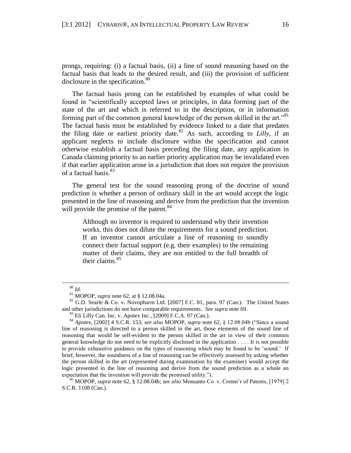prongs, requiring: (i) a factual basis, (ii) a line of sound reasoning based on the factual basis that leads to the desired result, and (iii) the provision of sufficient disclosure in the specification.<sup>80</sup>

The factual basis prong can be established by examples of what could be found in "scientifically accepted laws or principles, in data forming part of the state of the art and which is referred to in the description, or in information forming part of the common general knowledge of the person skilled in the art."<sup>81</sup> The factual basis must be established by evidence linked to a date that predates the filing date or earliest priority date.<sup>82</sup> As such, according to *Lilly*, if an applicant neglects to include disclosure within the specification and cannot otherwise establish a factual basis preceding the filing date, any application in Canada claiming priority to an earlier priority application may be invalidated even if that earlier application arose in a jurisdiction that does not require the provision of a factual basis. $83$ 

The general test for the sound reasoning prong of the doctrine of sound prediction is whether a person of ordinary skill in the art would accept the logic presented in the line of reasoning and derive from the prediction that the invention will provide the promise of the patent.<sup>84</sup>

Although no inventor is required to understand why their invention works, this does not dilute the requirements for a sound prediction. If an inventor cannot articulate a line of reasoning to soundly connect their factual support (e.g. their examples) to the remaining matter of their claims, they are not entitled to the full breadth of their claims. 85

<sup>80</sup> *Id.*

<sup>81</sup> MOPOP, *supra* note [62,](#page-15-1) at § 12.08.04a.

<sup>82</sup> G.D. Searle & Co. v. Novopharm Ltd. [2007] F.C. 81, para. 97 (Can.). The United States and other jurisdictions do not have comparable requirements. *See supra* note 69.

 $83$  Eli Lilly Can. Inc. v. Apotex Inc., [2009] F.C.A. 97 (Can.).

<sup>84</sup> *Apotex*, [2002] 4 S.C.R. 153; *see also* MOPOP, *supra* note 62, § 12.08.04b ("Since a sound line of reasoning is directed to a person skilled in the art, those elements of the sound line of reasoning that would be self-evident to the person skilled in the art in view of their common general knowledge do not need to be explicitly disclosed in the application . . . . It is not possible to provide exhaustive guidance on the types of reasoning which may be found to be 'sound.' If brief, however, the soundness of a line of reasoning can be effectively assessed by asking whether the person skilled in the art (represented during examination by the examiner) would accept the logic presented in the line of reasoning and derive from the sound prediction as a whole an expectation that the invention will provide the promised utility.").

<sup>85</sup> MOPOP, *supra* note 62, § 12.08.04b; *see also* Monsanto Co. v. Comm'r of Patents, [1979] 2 S.C.R. 1108 (Can.).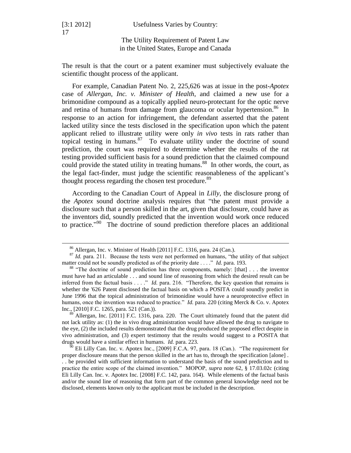17

 $\overline{a}$ 

[3:1 2012] Usefulness Varies by Country:

# The Utility Requirement of Patent Law in the United States, Europe and Canada

The result is that the court or a patent examiner must subjectively evaluate the scientific thought process of the applicant.

For example, Canadian Patent No. 2, 225,626 was at issue in the post-*Apotex* case of *Allergan, Inc. v. Minister of Health*, and claimed a new use for a brimonidine compound as a topically applied neuro-protectant for the optic nerve and retina of humans from damage from glaucoma or ocular hypertension.<sup>86</sup> In response to an action for infringement, the defendant asserted that the patent lacked utility since the tests disclosed in the specification upon which the patent applicant relied to illustrate utility were only *in vivo* tests in rats rather than topical testing in humans. $87$  To evaluate utility under the doctrine of sound prediction, the court was required to determine whether the results of the rat testing provided sufficient basis for a sound prediction that the claimed compound could provide the stated utility in treating humans.<sup>88</sup> In other words, the court, as the legal fact-finder, must judge the scientific reasonableness of the applicant's thought process regarding the chosen test procedure.<sup>89</sup>

According to the Canadian Court of Appeal in *Lilly*, the disclosure prong of the *Apotex* sound doctrine analysis requires that "the patent must provide a disclosure such that a person skilled in the art, given that disclosure, could have as the inventors did, soundly predicted that the invention would work once reduced to practice."<sup>90</sup> The doctrine of sound prediction therefore places an additional

 $86$  Allergan, Inc. v. Minister of Health [2011] F.C. 1316, para. 24 (Can.).

<sup>&</sup>lt;sup>87</sup> *Id.* para. 211. Because the tests were not performed on humans, "the utility of that subject matter could not be soundly predicted as of the priority date . . . ." *Id.* para. 193.

<sup>&</sup>lt;sup>88</sup> "The doctrine of sound prediction has three components, namely: [that]  $\dots$  the inventor must have had an articulable . . . and sound line of reasoning from which the desired result can be inferred from the factual basis . . . ." *Id.* para. 216. "Therefore, the key question that remains is whether the '626 Patent disclosed the factual basis on which a POSITA could soundly predict in June 1996 that the topical administration of brimonidine would have a neuroprotective effect in humans, once the invention was reduced to practice." *Id.* para. 220 (citing Merck & Co. v. Apotex Inc., [2010] F.C. 1265, para. 521 (Can.)).

<sup>&</sup>lt;sup>89</sup> Allergan, Inc. [2011] F.C. 1316, para. 220. The Court ultimately found that the patent did not lack utility as: (1) the in vivo drug administration would have allowed the drug to navigate to the eye, (2) the included results demonstrated that the drug produced the proposed effect despite in vivo administration, and (3) expert testimony that the results would suggest to a POSITA that drugs would have a similar effect in humans. *Id.* para. 223.

 $90$  Eli Lilly Can. Inc. v. Apotex Inc., [2009] F.C.A. 97, para. 18 (Can.). "The requirement for proper disclosure means that the person skilled in the art has to, through the specification [alone] . . . be provided with sufficient information to understand the basis of the sound prediction and to practice the entire scope of the claimed invention." MOPOP, *supra* note 62, § 17.03.02c (citing Eli Lilly Can. Inc. v. Apotex Inc. [2008] F.C. 142, para. 164). While elements of the factual basis and/or the sound line of reasoning that form part of the common general knowledge need not be disclosed, elements known only to the applicant must be included in the description.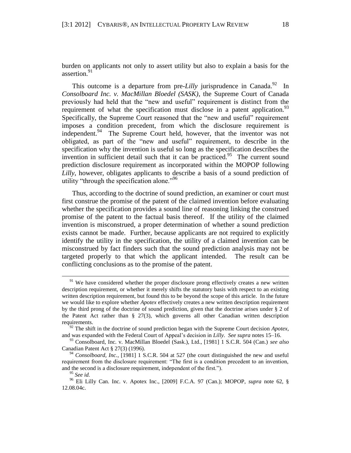burden on applicants not only to assert utility but also to explain a basis for the assertion.<sup>91</sup>

This outcome is a departure from pre-*Lilly* jurisprudence in Canada.<sup>92</sup> In *Consolboard Inc. v. MacMillan Bloedel (SASK)*, the Supreme Court of Canada previously had held that the "new and useful" requirement is distinct from the requirement of what the specification must disclose in a patent application.<sup>93</sup> Specifically, the Supreme Court reasoned that the "new and useful" requirement imposes a condition precedent, from which the disclosure requirement is independent.<sup>94</sup> The Supreme Court held, however, that the inventor was not obligated, as part of the "new and useful" requirement, to describe in the specification why the invention is useful so long as the specification describes the invention in sufficient detail such that it can be practiced.<sup>95</sup> The current sound prediction disclosure requirement as incorporated within the MOPOP following *Lilly*, however, obligates applicants to describe a basis of a sound prediction of utility "through the specification alone."<sup>96</sup>

Thus, according to the doctrine of sound prediction, an examiner or court must first construe the promise of the patent of the claimed invention before evaluating whether the specification provides a sound line of reasoning linking the construed promise of the patent to the factual basis thereof. If the utility of the claimed invention is misconstrued, a proper determination of whether a sound prediction exists cannot be made. Further, because applicants are not required to explicitly identify the utility in the specification, the utility of a claimed invention can be misconstrued by fact finders such that the sound prediction analysis may not be targeted properly to that which the applicant intended. The result can be conflicting conclusions as to the promise of the patent.

 $91$  We have considered whether the proper disclosure prong effectively creates a new written description requirement, or whether it merely shifts the statutory basis with respect to an existing written description requirement, but found this to be beyond the scope of this article. In the future we would like to explore whether *Apotex* effectively creates a new written description requirement by the third prong of the doctrine of sound prediction, given that the doctrine arises under § 2 of the Patent Act rather than § 27(3), which governs all other Canadian written description requirements.

 $92$ <sup>92</sup> The shift in the doctrine of sound prediction began with the Supreme Court decision *Apotex*, and was expanded with the Federal Court of Appeal's decision in *Lilly*. *See supra* notes [15](#page-7-3)[–16.](#page-7-4)

<sup>93</sup> Consolboard, Inc. v. MacMillan Bloedel (Sask.), Ltd., [1981] 1 S.C.R. 504 (Can.) *see also* Canadian Patent Act § 27(3) (1996).

<sup>94</sup> *Consolboard, Inc.*, [1981] 1 S.C.R. 504 at 527 (the court distinguished the new and useful requirement from the disclosure requirement: "The first is a condition precedent to an invention, and the second is a disclosure requirement, independent of the first.").

<sup>95</sup> *See id.*

<sup>96</sup> Eli Lilly Can. Inc. v. Apotex Inc., [2009] F.C.A. 97 (Can.); MOPOP, *supra* note 62, § 12.08.04c.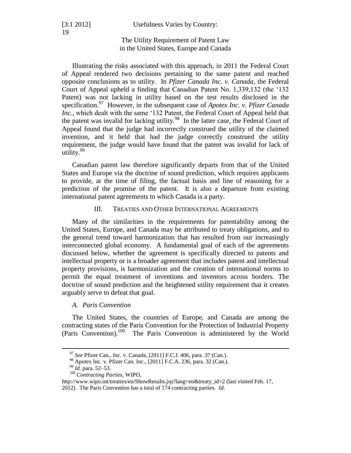19

[3:1 2012] Usefulness Varies by Country:

The Utility Requirement of Patent Law in the United States, Europe and Canada

Illustrating the risks associated with this approach, in 2011 the Federal Court of Appeal rendered two decisions pertaining to the same patent and reached opposite conclusions as to utility. In *Pfizer Canada Inc. v. Canada*, the Federal Court of Appeal upheld a finding that Canadian Patent No. 1,339,132 (the '132 Patent) was not lacking in utility based on the test results disclosed in the specification.<sup>97</sup> However, in the subsequent case of *Apotex Inc. v. Pfizer Canada Inc.*, which dealt with the same '132 Patent, the Federal Court of Appeal held that the patent was invalid for lacking utility.<sup>98</sup> In the latter case, the Federal Court of Appeal found that the judge had incorrectly construed the utility of the claimed invention, and it held that had the judge correctly construed the utility requirement, the judge would have found that the patent was invalid for lack of utility.<sup>99</sup>

Canadian patent law therefore significantly departs from that of the United States and Europe via the doctrine of sound prediction, which requires applicants to provide, at the time of filing, the factual basis and line of reasoning for a prediction of the promise of the patent. It is also a departure from existing international patent agreements to which Canada is a party.

# III. TREATIES AND OTHER INTERNATIONAL AGREEMENTS

<span id="page-21-0"></span>Many of the similarities in the requirements for patentability among the United States, Europe, and Canada may be attributed to treaty obligations, and to the general trend toward harmonization that has resulted from our increasingly interconnected global economy. A fundamental goal of each of the agreements discussed below, whether the agreement is specifically directed to patents and intellectual property or is a broader agreement that includes patent and intellectual property provisions, is harmonization and the creation of international norms to permit the equal treatment of inventions and inventors across borders. The doctrine of sound prediction and the heightened utility requirement that it creates arguably serve to defeat that goal.

#### <span id="page-21-1"></span>*A. Paris Convention*

The United States, the countries of Europe, and Canada are among the contracting states of the Paris Convention for the Protection of Industrial Property (Paris Convention).<sup>100</sup> The Paris Convention is administered by the World

<sup>97</sup> *See* Pfizer Can., Inc. v. Canada, [2011] F.C.J. 406, para. 37 (Can.).

<sup>98</sup> Apotex Inc. v. Pfizer Can. Inc., [2011] F.C.A. 236, para. 32 (Can.).

<sup>99</sup> *Id.* para. 52–53.

<sup>100</sup> *Contracting Parties*, WIPO,

http://www.wipo.int/treaties/en/ShowResults.jsp?lang=en&treaty\_id=2 (last visited Feb. 17, 2012). The Paris Convention has a total of 174 contracting parties. *Id.*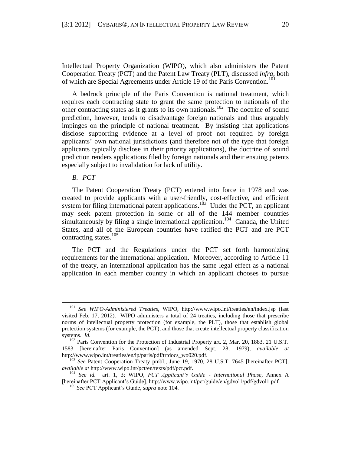Intellectual Property Organization (WIPO), which also administers the Patent Cooperation Treaty (PCT) and the Patent Law Treaty (PLT), discussed *infra*, both of which are Special Agreements under Article 19 of the Paris Convention.<sup>101</sup>

A bedrock principle of the Paris Convention is national treatment, which requires each contracting state to grant the same protection to nationals of the other contracting states as it grants to its own nationals.<sup>102</sup> The doctrine of sound prediction, however, tends to disadvantage foreign nationals and thus arguably impinges on the principle of national treatment. By insisting that applications disclose supporting evidence at a level of proof not required by foreign applicants' own national jurisdictions (and therefore not of the type that foreign applicants typically disclose in their priority applications), the doctrine of sound prediction renders applications filed by foreign nationals and their ensuing patents especially subject to invalidation for lack of utility.

<span id="page-22-0"></span>*B. PCT*

 $\overline{a}$ 

The Patent Cooperation Treaty (PCT) entered into force in 1978 and was created to provide applicants with a user-friendly, cost-effective, and efficient system for filing international patent applications.<sup>103</sup> Under the PCT, an applicant may seek patent protection in some or all of the 144 member countries simultaneously by filing a single international application.<sup>104</sup> Canada, the United States, and all of the European countries have ratified the PCT and are PCT contracting states. 105

The PCT and the Regulations under the PCT set forth harmonizing requirements for the international application. Moreover, according to Article 11 of the treaty, an international application has the same legal effect as a national application in each member country in which an applicant chooses to pursue

<sup>101</sup> *See WIPO-Administered Treaties*, WIPO, http://www.wipo.int/treaties/en/index.jsp (last visited Feb. 17, 2012). WIPO administers a total of 24 treaties, including those that prescribe norms of intellectual property protection (for example, the PLT), those that establish global protection systems (for example, the PCT), and those that create intellectual property classification systems. *Id.*

<sup>&</sup>lt;sup>102</sup> Paris Convention for the Protection of Industrial Property art. 2, Mar. 20, 1883, 21 U.S.T. 1583 [hereinafter Paris Convention] (as amended Sept. 28, 1979), *available at* http://www.wipo.int/treaties/en/ip/paris/pdf/trtdocs\_wo020.pdf.

<sup>103</sup> *See* Patent Cooperation Treaty pmbl., June 19, 1970, 28 U.S.T. 7645 [hereinafter PCT], *available at* http://www.wipo.int/pct/en/texts/pdf/pct.pdf.

<sup>104</sup> *See id.* art. 1, 3; WIPO, *PCT Applicant's Guide - International Phase*, Annex A [hereinafter PCT Applicant's Guide], http://www.wipo.int/pct/guide/en/gdvol1/pdf/gdvol1.pdf.

<sup>105</sup> *See* PCT Applicant's Guide, *supra* note 104.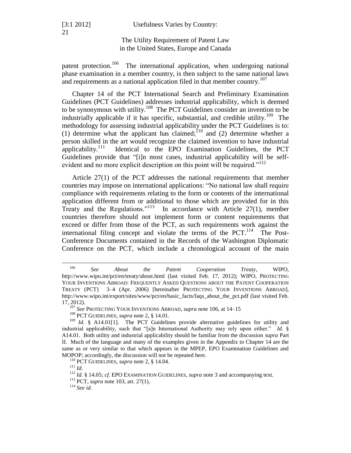[3:1 2012] Usefulness Varies by Country:

# The Utility Requirement of Patent Law in the United States, Europe and Canada

patent protection.<sup>106</sup> The international application, when undergoing national phase examination in a member country, is then subject to the same national laws and requirements as a national application filed in that member country.<sup>107</sup>

Chapter 14 of the PCT International Search and Preliminary Examination Guidelines (PCT Guidelines) addresses industrial applicability, which is deemed to be synonymous with utility.<sup>108</sup> The PCT Guidelines consider an invention to be industrially applicable if it has specific, substantial, and credible utility.<sup>109</sup> The methodology for assessing industrial applicability under the PCT Guidelines is to: (1) determine what the applicant has claimed;  $\frac{1}{10}$  and (2) determine whether a person skilled in the art would recognize the claimed invention to have industrial applicability. $111$  Identical to the EPO Examination Guidelines, the PCT Guidelines provide that "[i]n most cases, industrial applicability will be selfevident and no more explicit description on this point will be required."<sup>112</sup>

Article 27(1) of the PCT addresses the national requirements that member countries may impose on international applications: "No national law shall require compliance with requirements relating to the form or contents of the international application different from or additional to those which are provided for in this Treaty and the Regulations.<sup> $113$ </sup> In accordance with Article 27(1), member In accordance with Article  $27(1)$ , member countries therefore should not implement form or content requirements that exceed or differ from those of the PCT, as such requirements work against the international filing concept and violate the terms of the PCT. $^{114}$  The Post-Conference Documents contained in the Records of the Washington Diplomatic Conference on the PCT, which include a chronological account of the main

<sup>106</sup> *See About the Patent Cooperation Treaty*, WIPO, http://www.wipo.int/pct/en/treaty/about.html (last visited Feb. 17, 2012); WIPO, PROTECTING YOUR INVENTIONS ABROAD: FREQUENTLY ASKED QUESTIONS ABOUT THE PATENT COOPERATION TREATY (PCT) 3–4 (Apr. 2006) [hereinafter PROTECTING YOUR INVENTIONS ABROAD], http://www.wipo.int/export/sites/www/pct/en/basic\_facts/faqs\_about\_the\_pct.pdf (last visited Feb. 17, 2012).

<sup>107</sup> *See* PROTECTING YOUR INVENTIONS ABROAD, *supra* note 106, at 14–15

<sup>108</sup> PCT GUIDELINES, *supra* note 2, § 14.01.

<sup>&</sup>lt;sup>109</sup> *Id.* § A14.01[1]. The PCT Guidelines provide alternative guidelines for utility and industrial applicability, such that "[a]n International Authority may rely upon either." *Id.* § A14.01. Both utility and industrial applicability should be familiar from the discussion *supra* Part II. Much of the language and many of the examples given in the Appendix to Chapter 14 are the same as or very similar to that which appears in the MPEP, EPO Examination Guidelines and MOPOP; accordingly, the discussion will not be repeated here.

<sup>110</sup> PCT GUIDELINES, *supra* note 2, § 14.04.

<sup>111</sup> *Id.*

<sup>112</sup> *Id.* § 14.05; *cf.* EPO EXAMINATION GUIDELINES, *supra* not[e 3](#page-4-3) and accompanying text.

<sup>113</sup> PCT, *supra* note 103, art. 27(1).

<sup>114</sup> *See id.*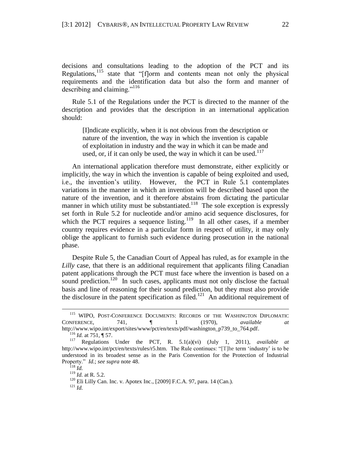decisions and consultations leading to the adoption of the PCT and its Regulations, <sup>115</sup> state that "[f]orm and contents mean not only the physical requirements and the identification data but also the form and manner of describing and claiming."<sup>116</sup>

Rule 5.1 of the Regulations under the PCT is directed to the manner of the description and provides that the description in an international application should:

[I]ndicate explicitly, when it is not obvious from the description or nature of the invention, the way in which the invention is capable of exploitation in industry and the way in which it can be made and used, or, if it can only be used, the way in which it can be used. $117$ 

An international application therefore must demonstrate, either explicitly or implicitly, the way in which the invention is capable of being exploited and used, i.e., the invention's utility. However, the PCT in Rule 5.1 contemplates variations in the manner in which an invention will be described based upon the nature of the invention, and it therefore abstains from dictating the particular manner in which utility must be substantiated.<sup>118</sup> The sole exception is expressly set forth in Rule 5.2 for nucleotide and/or amino acid sequence disclosures, for which the PCT requires a sequence listing.<sup>119</sup> In all other cases, if a member country requires evidence in a particular form in respect of utility, it may only oblige the applicant to furnish such evidence during prosecution in the national phase.

Despite Rule 5, the Canadian Court of Appeal has ruled, as for example in the *Lilly* case, that there is an additional requirement that applicants filing Canadian patent applications through the PCT must face where the invention is based on a sound prediction.<sup>120</sup> In such cases, applicants must not only disclose the factual basis and line of reasoning for their sound prediction, but they must also provide the disclosure in the patent specification as filed.<sup>121</sup> An additional requirement of

<sup>&</sup>lt;sup>115</sup> WIPO, POST-CONFERENCE DOCUMENTS: RECORDS OF THE WASHINGTON DIPLOMATIC CONFERENCE, 741, ¶ 1 (1970), *available at*  http://www.wipo.int/export/sites/www/pct/en/texts/pdf/washington\_p739\_to\_764.pdf.

<sup>&</sup>lt;sup>116</sup> *Id.* at 751,  $\P$  57.

<sup>117</sup> Regulations Under the PCT, R. 5.1(a)(vi) (July 1, 2011), *available at* http://www.wipo.int/pct/en/texts/rules/r5.htm. The Rule continues: "[T]he term 'industry' is to be understood in its broadest sense as in the Paris Convention for the Protection of Industrial Property." *Id.*; *see supra* not[e 48.](#page-12-2)

 $\frac{1}{118}$  *Id.* 

<sup>119</sup> *Id.* at R. 5.2.

<sup>120</sup> Eli Lilly Can. Inc. v. Apotex Inc., [2009] F.C.A. 97, para. 14 (Can.).

<sup>121</sup> *Id.*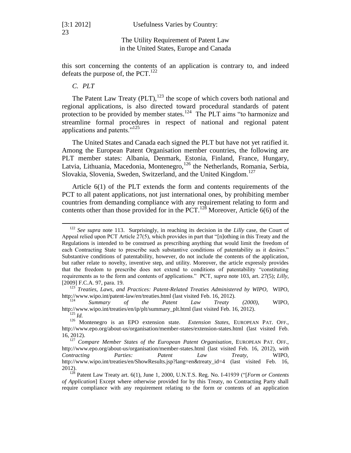[3:1 2012] Usefulness Varies by Country:

The Utility Requirement of Patent Law in the United States, Europe and Canada

this sort concerning the contents of an application is contrary to, and indeed defeats the purpose of, the PCT. $^{122}$ 

<span id="page-25-0"></span>*C. PLT*

The Patent Law Treaty  $(PLT)$ ,<sup>123</sup> the scope of which covers both national and regional applications, is also directed toward procedural standards of patent protection to be provided by member states.<sup>124</sup> The PLT aims "to harmonize and streamline formal procedures in respect of national and regional patent applications and patents."<sup>125</sup>

The United States and Canada each signed the PLT but have not yet ratified it. Among the European Patent Organisation member countries, the following are PLT member states: Albania, Denmark, Estonia, Finland, France, Hungary, Latvia, Lithuania, Macedonia, Montenegro,<sup>126</sup> the Netherlands, Romania, Serbia, Slovakia, Slovenia, Sweden, Switzerland, and the United Kingdom.<sup>127</sup>

Article 6(1) of the PLT extends the form and contents requirements of the PCT to all patent applications, not just international ones, by prohibiting member countries from demanding compliance with any requirement relating to form and contents other than those provided for in the PCT.<sup>128</sup> Moreover, Article 6(6) of the

<sup>123</sup> *Treaties, Laws, and Practices: Patent-Related Treaties Administered by WIPO*, WIPO, http://www.wipo.int/patent-law/en/treaties.html (last visited Feb. 16, 2012).

<sup>124</sup> *Summary of the Patent Law Treaty (2000)*, WIPO, http://www.wipo.int/treaties/en/ip/plt/summary\_plt.html (last visited Feb. 16, 2012). <sup>125</sup> *Id.*

<sup>122</sup> *See supra* note 113. Surprisingly, in reaching its decision in the *Lilly* case, the Court of Appeal relied upon PCT Article 27(5), which provides in part that "[n]othing in this Treaty and the Regulations is intended to be construed as prescribing anything that would limit the freedom of each Contracting State to prescribe such substantive conditions of patentability as it desires." Substantive conditions of patentability, however, do not include the contents of the application, but rather relate to novelty, inventive step, and utility. Moreover, the article expressly provides that the freedom to prescribe does not extend to conditions of patentability "constituting requirements as to the form and contents of applications." PCT, *supra* note 103, art. 27(5); *Lilly*, [2009] F.C.A. 97, para. 19.

<sup>126</sup> Montenegro is an EPO extension state. *Extension States*, EUROPEAN PAT. OFF., http://www.epo.org/about-us/organisation/member-states/extension-states.html (last visited Feb. 16, 2012).

<sup>127</sup> *Compare Member States of the European Patent Organisation*, EUROPEAN PAT. OFF., http://www.epo.org/about-us/organisation/member-states.html (last visited Feb. 16, 2012), *with Contracting Parties: Patent Law Treaty*, WIPO, http://www.wipo.int/treaties/en/ShowResults.jsp?lang=en&treaty\_id=4 (last visited Feb. 16, 2012).

<sup>128</sup> Patent Law Treaty art. 6(1), June 1, 2000, U.N.T.S. Reg. No. I-41939 ("[*Form or Contents of Application*] Except where otherwise provided for by this Treaty, no Contracting Party shall require compliance with any requirement relating to the form or contents of an application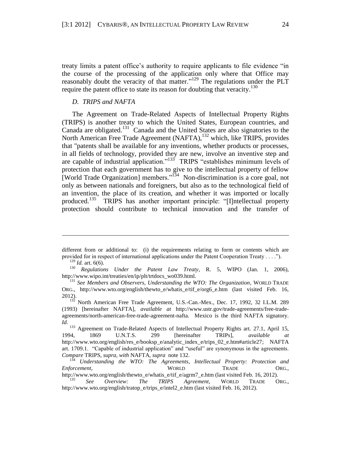treaty limits a patent office's authority to require applicants to file evidence "in the course of the processing of the application only where that Office may reasonably doubt the veracity of that matter."<sup>129</sup> The regulations under the PLT require the patent office to state its reason for doubting that veracity.<sup>130</sup>

#### <span id="page-26-0"></span>*D. TRIPS and NAFTA*

The Agreement on Trade-Related Aspects of Intellectual Property Rights (TRIPS) is another treaty to which the United States, European countries, and Canada are obligated.<sup>131</sup> Canada and the United States are also signatories to the North American Free Trade Agreement (NAFTA),<sup>132</sup> which, like TRIPS, provides that "patents shall be available for any inventions, whether products or processes, in all fields of technology, provided they are new, involve an inventive step and are capable of industrial application."<sup>133</sup> TRIPS "establishes minimum levels of protection that each government has to give to the intellectual property of fellow [World Trade Organization] members."<sup>134</sup> Non-discrimination is a core goal, not only as between nationals and foreigners, but also as to the technological field of an invention, the place of its creation, and whether it was imported or locally produced.<sup>135</sup> TRIPS has another important principle: "[I]ntellectual property protection should contribute to technical innovation and the transfer of

<sup>129</sup> *Id.* art. 6(6).

different from or additional to: (i) the requirements relating to form or contents which are provided for in respect of international applications under the Patent Cooperation Treaty . . . .").

<sup>130</sup> *Regulations Under the Patent Law Treaty*, R. 5, WIPO (Jan. 1, 2006), http://www.wipo.int/treaties/en/ip/plt/trtdocs\_wo039.html.

<sup>131</sup> *See Members and Observers, Understanding the WTO: The Organization*, WORLD TRADE ORG., http://www.wto.org/english/thewto\_e/whatis\_e/tif\_e/org6\_e.htm (last visited Feb. 16, 2012).

<sup>&</sup>lt;sup>132</sup> North American Free Trade Agreement, U.S.-Can.-Mex., Dec. 17, 1992, 32 I.L.M. 289 (1993) [hereinafter NAFTA], *available at* http://www.ustr.gov/trade-agreements/free-tradeagreements/north-american-free-trade-agreement-nafta. Mexico is the third NAFTA signatory. *Id.*

<sup>&</sup>lt;sup>133</sup> Agreement on Trade-Related Aspects of Intellectual Property Rights art. 27.1, April 15, 1994, 1869 U.N.T.S. 299 [hereinafter TRIPs], *available at* http://www.wto.org/english/res\_e/booksp\_e/analytic\_index\_e/trips\_02\_e.htm#article27; NAFTA art. 1709.1. "Capable of industrial application" and "useful" are synonymous in the agreements. *Compare* TRIPS, *supra*, *with* NAFTA, *supra* note 132.

<sup>134</sup> *Understanding the WTO: The Agreements, Intellectual Property: Protection and Enforcement*, WORLD TRADE ORG.,

http://www.wto.org/english/thewto\_e/whatis\_e/tif\_e/agrm7\_e.htm (last visited Feb. 16, 2012). <sup>135</sup> *See Overview: The TRIPS Agreement*, WORLD TRADE ORG.,

http://www.wto.org/english/tratop\_e/trips\_e/intel2\_e.htm (last visited Feb. 16, 2012).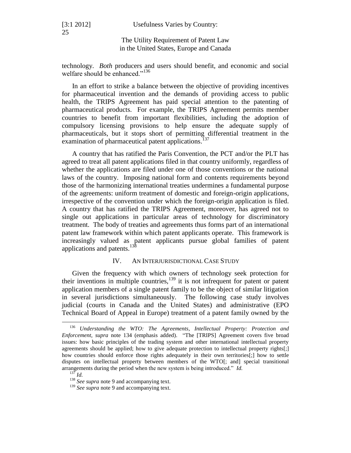[3:1 2012] Usefulness Varies by Country:

The Utility Requirement of Patent Law in the United States, Europe and Canada

technology. *Both* producers and users should benefit, and economic and social welfare should be enhanced."<sup>136</sup>

In an effort to strike a balance between the objective of providing incentives for pharmaceutical invention and the demands of providing access to public health, the TRIPS Agreement has paid special attention to the patenting of pharmaceutical products. For example, the TRIPS Agreement permits member countries to benefit from important flexibilities, including the adoption of compulsory licensing provisions to help ensure the adequate supply of pharmaceuticals, but it stops short of permitting differential treatment in the examination of pharmaceutical patent applications.<sup>137</sup>

A country that has ratified the Paris Convention, the PCT and/or the PLT has agreed to treat all patent applications filed in that country uniformly, regardless of whether the applications are filed under one of those conventions or the national laws of the country. Imposing national form and contents requirements beyond those of the harmonizing international treaties undermines a fundamental purpose of the agreements: uniform treatment of domestic and foreign-origin applications, irrespective of the convention under which the foreign-origin application is filed. A country that has ratified the TRIPS Agreement, moreover, has agreed not to single out applications in particular areas of technology for discriminatory treatment. The body of treaties and agreements thus forms part of an international patent law framework within which patent applicants operate. This framework is increasingly valued as patent applicants pursue global families of patent applications and patents.<sup>138</sup>

#### IV. AN INTERJURISDICTIONAL CASE STUDY

<span id="page-27-0"></span>Given the frequency with which owners of technology seek protection for their inventions in multiple countries, $139$  it is not infrequent for patent or patent application members of a single patent family to be the object of similar litigation in several jurisdictions simultaneously. The following case study involves judicial (courts in Canada and the United States) and administrative (EPO Technical Board of Appeal in Europe) treatment of a patent family owned by the

<sup>136</sup> *Understanding the WTO: The Agreements, Intellectual Property: Protection and Enforcement*, *supra* note 134 (emphasis added)."The [TRIPS] Agreement covers five broad issues: how basic principles of the trading system and other international intellectual property agreements should be applied; how to give adequate protection to intellectual property rights[;] how countries should enforce those rights adequately in their own territories[;] how to settle disputes on intellectual property between members of the WTO[; and] special transitional arrangements during the period when the new system is being introduced." *Id.*

 $Id.$ 

<sup>&</sup>lt;sup>138</sup> *See supra* note [9](#page-5-0) and accompanying text.

<sup>&</sup>lt;sup>139</sup> *See supra* note [9](#page-5-0) and accompanying text.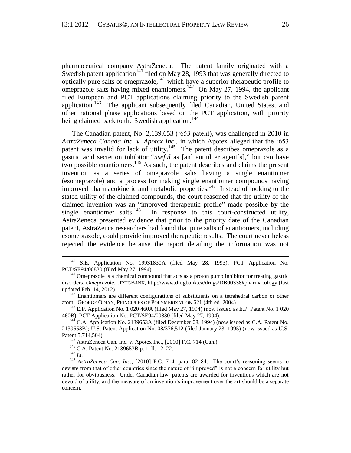pharmaceutical company AstraZeneca. The patent family originated with a Swedish patent application<sup>140</sup> filed on May 28, 1993 that was generally directed to optically pure salts of omeprazole, <sup>141</sup> which have a superior therapeutic profile to omeprazole salts having mixed enantiomers.<sup>142</sup> On May 27, 1994, the applicant filed European and PCT applications claiming priority to the Swedish parent application.<sup>143</sup> The applicant subsequently filed Canadian, United States, and other national phase applications based on the PCT application, with priority being claimed back to the Swedish application.<sup>144</sup>

The Canadian patent, No. 2,139,653 ('653 patent), was challenged in 2010 in *AstraZeneca Canada Inc. v. Apotex Inc*., in which Apotex alleged that the '653 patent was invalid for lack of utility.<sup>145</sup> The patent describes omeprazole as a gastric acid secretion inhibitor "*useful* as [an] antiulcer agent[s]," but can have two possible enantiomers.<sup>146</sup> As such, the patent describes and claims the present invention as a series of omeprazole salts having a single enantiomer (esomeprazole) and a process for making single enantiomer compounds having improved pharmacokinetic and metabolic properties.<sup>147</sup> Instead of looking to the stated utility of the claimed compounds, the court reasoned that the utility of the claimed invention was an "improved therapeutic profile" made possible by the single enantiomer salts.<sup>148</sup> In response to this court-constructed utility, AstraZeneca presented evidence that prior to the priority date of the Canadian patent, AstraZenca researchers had found that pure salts of enantiomers, including esomeprazole, could provide improved therapeutic results. The court nevertheless rejected the evidence because the report detailing the information was not

<sup>143</sup> E.P. Application No. 1 020 460A (filed May 27, 1994) (now issued as E.P. Patent No. 1 020 460B); PCT Application No. PCT/SE94/00830 (filed May 27, 1994).

<sup>146</sup> C.A. Patent No. 2139653B p. 1, ll. 12–22.

<sup>140</sup> S.E. Application No. 19931830A (filed May 28, 1993); PCT Application No. PCT/SE94/00830 (filed May 27, 1994).

<sup>&</sup>lt;sup>141</sup> Omeprazole is a chemical compound that acts as a proton pump inhibitor for treating gastric disorders. *Omeprazole*, DRUGBANK, http://www.drugbank.ca/drugs/DB00338#pharmacology (last updated Feb. 14, 2012).

<sup>&</sup>lt;sup>142</sup> Enantiomers are different configurations of substituents on a tetrahedral carbon or other atom. GEORGE ODIAN, PRINCIPLES OF POLYMERIZATION 621 (4th ed. 2004).

<sup>144</sup> C.A. Application No. 2139653A (filed December 08, 1994) (now issued as C.A. Patent No. 2139653B); U.S. Patent Application No. 08/376,512 (filed January 23, 1995) (now issued as U.S. Patent 5,714,504).

 $145$  AstraZeneca Can. Inc. v. Apotex Inc., [2010] F.C. 714 (Can.).

<sup>147</sup> *Id.*

<sup>148</sup> *AstraZeneca Can. Inc.*, [2010] F.C. 714, para. 82–84. The court's reasoning seems to deviate from that of other countries since the nature of "improved" is not a concern for utility but rather for obviousness. Under Canadian law, patents are awarded for inventions which are not devoid of utility, and the measure of an invention's improvement over the art should be a separate concern.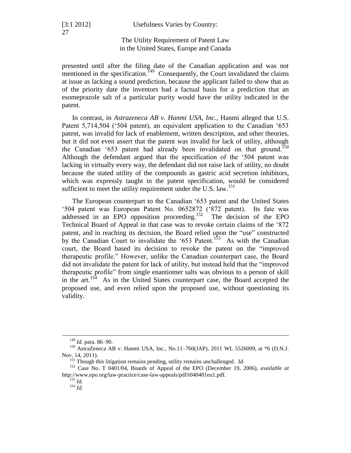[3:1 2012] Usefulness Varies by Country:

The Utility Requirement of Patent Law in the United States, Europe and Canada

presented until after the filing date of the Canadian application and was not mentioned in the specification.<sup>149</sup> Consequently, the Court invalidated the claims at issue as lacking a sound prediction, because the applicant failed to show that as of the priority date the inventors had a factual basis for a prediction that an esomeprazole salt of a particular purity would have the utility indicated in the patent.

In contrast, in *Astrazeneca AB v. Hanmi USA, Inc.*, Hanmi alleged that U.S. Patent 5,714,504 ('504 patent), an equivalent application to the Canadian '653 patent, was invalid for lack of enablement, written description, and other theories, but it did not even assert that the patent was invalid for lack of utility, although the Canadian '653 patent had already been invalidated on that ground.<sup>150</sup> Although the defendant argued that the specification of the '504 patent was lacking in virtually every way, the defendant did not raise lack of utility, no doubt because the stated utility of the compounds as gastric acid secretion inhibitors, which was expressly taught in the patent specification, would be considered sufficient to meet the utility requirement under the U.S.  $\text{law}^{\{151\}}$ 

The European counterpart to the Canadian '653 patent and the United States '504 patent was European Patent No. 0652872 ('872 patent). Its fate was addressed in an EPO opposition proceeding.<sup>152</sup> The decision of the EPO Technical Board of Appeal in that case was to revoke certain claims of the '872 patent, and in reaching its decision, the Board relied upon the "use" constructed by the Canadian Court to invalidate the '653 Patent.<sup>153</sup> As with the Canadian court, the Board based its decision to revoke the patent on the "improved therapeutic profile." However, unlike the Canadian counterpart case, the Board did not invalidate the patent for lack of utility, but instead held that the "improved therapeutic profile" from single enantiomer salts was obvious to a person of skill in the art.<sup>154</sup> As in the United States counterpart case, the Board accepted the proposed use, and even relied upon the proposed use, without questioning its validity.

<sup>149</sup> *Id.* para. 86–90.

<sup>150</sup> AstraZeneca AB v. Hanmi USA, Inc., No.11–760(JAP), 2011 WL 5526009, at \*6 (D.N.J. Nov. 14, 2011).

<sup>151</sup> Though this litigation remains pending, utility remains unchallenged. *Id.*

<sup>152</sup> Case No. T 0401/04, Boards of Appeal of the EPO (December 19, 2006), *available at* http://www.epo.org/law-practice/case-law-appeals/pdf/t040401eu1.pdf.

<sup>153</sup> *Id.*

<sup>154</sup> *Id.*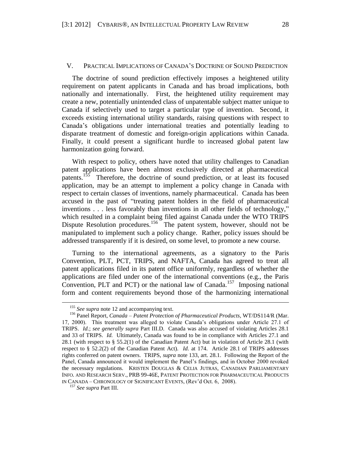#### <span id="page-30-0"></span>V. PRACTICAL IMPLICATIONS OF CANADA'S DOCTRINE OF SOUND PREDICTION

The doctrine of sound prediction effectively imposes a heightened utility requirement on patent applicants in Canada and has broad implications, both nationally and internationally. First, the heightened utility requirement may create a new, potentially unintended class of unpatentable subject matter unique to Canada if selectively used to target a particular type of invention. Second, it exceeds existing international utility standards, raising questions with respect to Canada's obligations under international treaties and potentially leading to disparate treatment of domestic and foreign-origin applications within Canada. Finally, it could present a significant hurdle to increased global patent law harmonization going forward.

With respect to policy, others have noted that utility challenges to Canadian patent applications have been almost exclusively directed at pharmaceutical patents.<sup>155</sup> Therefore, the doctrine of sound prediction, or at least its focused application, may be an attempt to implement a policy change in Canada with respect to certain classes of inventions, namely pharmaceutical. Canada has been accused in the past of "treating patent holders in the field of pharmaceutical inventions . . . less favorably than inventions in all other fields of technology," which resulted in a complaint being filed against Canada under the WTO TRIPS Dispute Resolution procedures.<sup>156</sup> The patent system, however, should not be manipulated to implement such a policy change. Rather, policy issues should be addressed transparently if it is desired, on some level, to promote a new course.

Turning to the international agreements, as a signatory to the Paris Convention, PLT, PCT, TRIPS, and NAFTA, Canada has agreed to treat all patent applications filed in its patent office uniformly, regardless of whether the applications are filed under one of the international conventions (e.g., the Paris Convention, PLT and PCT) or the national law of Canada.<sup>157</sup> Imposing national form and content requirements beyond those of the harmonizing international

<sup>157</sup> *See supra* Part III.

<sup>&</sup>lt;sup>155</sup> *See supra* note [12](#page-6-0) and accompanying text.

<sup>156</sup> Panel Report, *Canada – Patent Protection of Pharmaceutical Products*, WT/DS114/R (Mar. 17, 2000). This treatment was alleged to violate Canada's obligations under Article 27.1 of TRIPS. *Id.*; *see generally supra* Part III.D. Canada was also accused of violating Articles 28.1 and 33 of TRIPS. *Id.* Ultimately, Canada was found to be in compliance with Articles 27.1 and 28.1 (with respect to § 55.2(1) of the Canadian Patent Act) but in violation of Article 28.1 (with respect to § 52.2(2) of the Canadian Patent Act). *Id.* at 174. Article 28.1 of TRIPS addresses rights conferred on patent owners. TRIPS, *supra* note 133, art. 28.1. Following the Report of the Panel, Canada announced it would implement the Panel's findings, and in October 2000 revoked the necessary regulations. KRISTEN DOUGLAS & CELIA JUTRAS, CANADIAN PARLIAMENTARY INFO. AND RESEARCH SERV., PRB 99-46E, PATENT PROTECTION FOR PHARMACEUTICAL PRODUCTS IN CANADA – CHRONOLOGY OF SIGNIFICANT EVENTS, (Rev'd Oct. 6, 2008).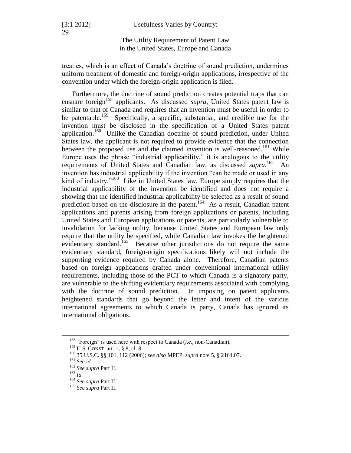[3:1 2012] Usefulness Varies by Country:

The Utility Requirement of Patent Law in the United States, Europe and Canada

treaties, which is an effect of Canada's doctrine of sound prediction, undermines uniform treatment of domestic and foreign-origin applications, irrespective of the convention under which the foreign-origin application is filed.

Furthermore, the doctrine of sound prediction creates potential traps that can ensnare foreign<sup>158</sup> applicants. As discussed *supra*, United States patent law is similar to that of Canada and requires that an invention must be useful in order to be patentable.<sup>159</sup> Specifically, a specific, substantial, and credible use for the invention must be disclosed in the specification of a United States patent application.<sup>160</sup> Unlike the Canadian doctrine of sound prediction, under United States law, the applicant is not required to provide evidence that the connection between the proposed use and the claimed invention is well-reasoned.<sup>161</sup> While Europe uses the phrase "industrial applicability," it is analogous to the utility requirements of United States and Canadian law, as discussed *supra*.<sup>162</sup> An invention has industrial applicability if the invention "can be made or used in any kind of industry."<sup>163</sup> Like in United States law, Europe simply requires that the industrial applicability of the invention be identified and does not require a showing that the identified industrial applicability be selected as a result of sound prediction based on the disclosure in the patent.<sup>164</sup> As a result, Canadian patent applications and patents arising from foreign applications or patents, including United States and European applications or patents, are particularly vulnerable to invalidation for lacking utility, because United States and European law only require that the utility be specified, while Canadian law invokes the heightened evidentiary standard.<sup>165</sup> Because other jurisdictions do not require the same evidentiary standard, foreign-origin specifications likely will not include the supporting evidence required by Canada alone. Therefore, Canadian patents based on foreign applications drafted under conventional international utility requirements, including those of the PCT to which Canada is a signatory party, are vulnerable to the shifting evidentiary requirements associated with complying with the doctrine of sound prediction. In imposing on patent applicants heightened standards that go beyond the letter and intent of the various international agreements to which Canada is party, Canada has ignored its international obligations.

<sup>158</sup> "Foreign" is used here with respect to Canada (*i.e.*, non-Canadian).

<sup>159</sup> U.S. CONST. art. 1, § 8, cl. 8.

<sup>160</sup> 35 U.S.C. §§ 101, 112 (2006); *see also* MPEP, *supra* note [5,](#page-4-2) § 2164.07.

<sup>161</sup> *See id.*

<sup>162</sup> *See supra* Part II.

<sup>163</sup> *Id.*

<sup>164</sup> *See supra* Part II.

<sup>165</sup> *See supra* Part II.